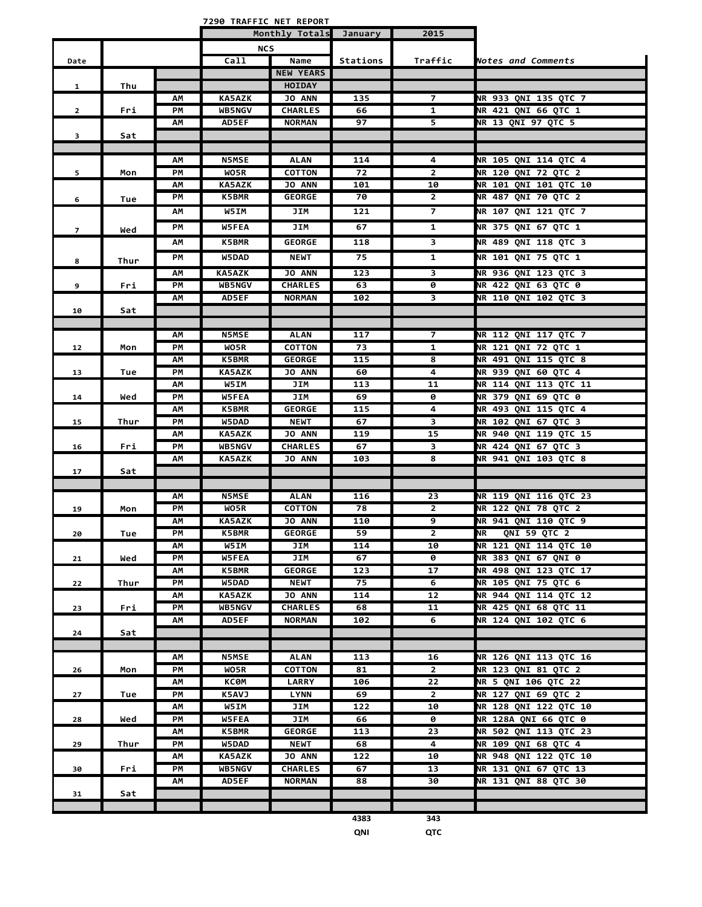**7290 TRAFFIC NET REPORT**

|                |      |    |               | Monthly Totals January |          | 2015                 |                              |
|----------------|------|----|---------------|------------------------|----------|----------------------|------------------------------|
|                |      |    | <b>NCS</b>    |                        |          |                      |                              |
| Date           |      |    | Ca11          | Name                   | Stations | Traffic              | Notes and Comments           |
|                |      |    |               | <b>NEW YEARS</b>       |          |                      |                              |
| $\mathbf{1}$   | Thu  |    |               | <b>HOIDAY</b>          |          |                      |                              |
|                |      | ΑМ | <b>KA5AZK</b> | <b>JO ANN</b>          | 135      | 7                    | NR 933 QNI 135 QTC 7         |
| $\mathbf{2}$   | Fri  | PM | <b>WB5NGV</b> | <b>CHARLES</b>         | 66       | $\overline{1}$       | <b>NR 421 QNI 66 QTC 1</b>   |
|                |      | ΑМ | <b>AD5EF</b>  | <b>NORMAN</b>          | 97       | 5                    | NR 13 QNI 97 QTC 5           |
| 3              | Sat  |    |               |                        |          |                      |                              |
|                |      |    |               |                        |          |                      |                              |
|                |      | ΑМ | <b>N5MSE</b>  | <b>ALAN</b>            | 114      | 4                    | NR 105 QNI 114 QTC 4         |
| 5              | Mon  | PM | WO5R          | <b>COTTON</b>          | 72       | $\overline{2}$       | <b>NR 120 QNI 72 QTC 2</b>   |
|                |      | ΑМ | <b>KA5AZK</b> | <b>JO ANN</b>          | 101      | 10                   | NR 101 QNI 101 QTC 10        |
| 6              | Tue  | PМ | <b>K5BMR</b>  | <b>GEORGE</b>          | 70       | $\mathbf{2}$         | NR 487 QNI 70 QTC 2          |
|                |      | ΑМ | W5IM          | JIM                    | 121      | $\overline{7}$       | NR 107 QNI 121 QTC 7         |
| $\overline{7}$ | Wed  | PM | W5FEA         | JIM                    | 67       | $\mathbf{1}$         | NR 375 QNI 67 QTC 1          |
|                |      | ΑМ | <b>K5BMR</b>  | <b>GEORGE</b>          | 118      | 3                    | <b>NR 489 QNI 118 QTC 3</b>  |
|                |      |    |               |                        |          |                      |                              |
| 8              | Thur | PM | W5DAD         | <b>NEWT</b>            | 75       | 1                    | NR 101 QNI 75 QTC 1          |
|                |      | АM | KA5AZK        | <b>JO ANN</b>          | 123      | 3                    | NR 936 QNI 123 QTC 3         |
| 9              | Fri  | PМ | <b>WB5NGV</b> | <b>CHARLES</b>         | 63       | 0                    | <b>NR 422 QNI 63 QTC 0</b>   |
|                |      | АΜ | AD5EF         | <b>NORMAN</b>          | 102      | 3                    | <b>NR 110 QNI 102 QTC 3</b>  |
| 10             | Sat  |    |               |                        |          |                      |                              |
|                |      |    |               |                        |          |                      |                              |
|                |      | ΑМ | <b>N5MSE</b>  | <b>ALAN</b>            | 117      | $\overline{7}$       | NR 112 QNI 117 QTC 7         |
| 12             | Mon  | PМ | WO5R          | <b>COTTON</b>          | 73       | 1                    | <b>NR 121 ONI 72 OTC 1</b>   |
|                |      | ΑМ | K5BMR         | <b>GEORGE</b>          | 115      | 8                    | NR 491 QNI 115 QTC 8         |
| 13             | Tue  | PM | <b>KA5AZK</b> | <b>JO ANN</b>          | 60       | 4                    | <b>NR 939 QNI 60 QTC 4</b>   |
|                |      | ΑМ | W5IM          | JIM                    | 113      | 11                   | NR 114 QNI 113 QTC 11        |
| 14             | Wed  | PM | W5FEA         | JIM                    | 69       | 0                    | <b>NR 379 QNI 69 QTC 0</b>   |
|                |      | AM | K5BMR         | <b>GEORGE</b>          | 115      | 4                    | NR 493 QNI 115 QTC 4         |
| 15             | Thur | PМ | W5DAD         | <b>NEWT</b>            | 67       | 3                    | NR 102 QNI 67 QTC 3          |
|                |      | ΑМ | <b>KA5AZK</b> | <b>JO ANN</b>          | 119      | 15<br>$\overline{3}$ | NR 940 QNI 119 QTC 15        |
| 16             | Fri  | PМ | <b>WB5NGV</b> | <b>CHARLES</b>         | 67       |                      | NR 424 QNI 67 QTC 3          |
|                |      | ΑМ | <b>KA5AZK</b> | <b>JO ANN</b>          | 103      | 8                    | NR 941 QNI 103 QTC 8         |
| 17             | Sat  |    |               |                        |          |                      |                              |
|                |      | ΑМ | <b>N5MSE</b>  | <b>ALAN</b>            | 116      | 23                   | NR 119 QNI 116 QTC 23        |
| 19             | Mon  | PМ | WO5R          | <b>COTTON</b>          | 78       | $\overline{2}$       | <b>NR 122 QNI 78 QTC 2</b>   |
|                |      | АM | <b>KA5AZK</b> | <b>JO ANN</b>          | 110      | 9                    | <b>NR 941 QNI 110 QTC 9</b>  |
| 20             | Tue  | PM | <b>K5BMR</b>  | <b>GEORGE</b>          | 59       | $\overline{2}$       | QNI 59 QTC 2<br>ΝR           |
|                |      | AΜ | W5IM          | JIM                    | 114      | 10                   | NR 121 QNI 114 QTC 10        |
| 21             | Wed  | РM | W5FEA         | JIM                    | 67       | 0                    | NR 383 QNI 67 QNI 0          |
|                |      | ΑМ | <b>K5BMR</b>  | <b>GEORGE</b>          | 123      | 17                   | <b>NR 498 QNI 123 QTC 17</b> |
| 22             | Thur | PM | W5DAD         | <b>NEWT</b>            | 75       | 6                    | NR 105 QNI 75 QTC 6          |
|                |      | АM | <b>KA5AZK</b> | <b>JO ANN</b>          | 114      | 12                   | NR 944 QNI 114 QTC 12        |
| 23             | Fri  | PМ | <b>WB5NGV</b> | <b>CHARLES</b>         | 68       | 11                   | <b>NR 425 QNI 68 QTC 11</b>  |
|                |      | АΜ | <b>AD5EF</b>  | <b>NORMAN</b>          | 102      | 6                    | NR 124 QNI 102 QTC 6         |
| 24             | Sat  |    |               |                        |          |                      |                              |
|                |      |    |               |                        |          |                      |                              |
|                |      | АM | <b>N5MSE</b>  | <b>ALAN</b>            | 113      | 16                   | <b>NR 126 QNI 113 QTC 16</b> |
| 26             | Mon  | PМ | WO5R          | COTTON                 | 81       | $\mathbf{2}$         | NR 123 QNI 81 QTC 2          |
|                |      | ΑМ | КСӨМ          | <b>LARRY</b>           | 106      | 22                   | NR 5 QNI 106 QTC 22          |
| 27             | Tue  | PM | K5AVJ         | <b>LYNN</b>            | 69       | $2^{\circ}$          | NR 127 QNI 69 QTC 2          |
|                |      | ΑМ | W5IM          | JIM                    | 122      | 10                   | <b>NR 128 QNI 122 QTC 10</b> |
| 28             | Wed  | РM | <b>W5FEA</b>  | JIM                    | 66       | 0                    | NR 128A QNI 66 QTC 0         |
|                |      | ΑМ | <b>K5BMR</b>  | <b>GEORGE</b>          | 113      | 23                   | NR 502 QNI 113 QTC 23        |
| 29             | Thur | PМ | W5DAD         | <b>NEWT</b>            | 68       | 4                    | NR 109 QNI 68 QTC 4          |
|                |      | ΑМ | <b>KA5AZK</b> | <b>JO ANN</b>          | 122      | 10                   | NR 948 QNI 122 QTC 10        |
| 30             | Fri  | PM | <b>WB5NGV</b> | <b>CHARLES</b>         | 67       | $\overline{13}$      | <b>NR 131 QNI 67 QTC 13</b>  |
|                |      | ΑМ | AD5EF         | <b>NORMAN</b>          | 88       | 30                   | <b>NR 131 QNI 88 QTC 30</b>  |
| 31             | Sat  |    |               |                        |          |                      |                              |
|                |      |    |               |                        |          |                      |                              |
|                |      |    |               |                        | 4383     | 343                  |                              |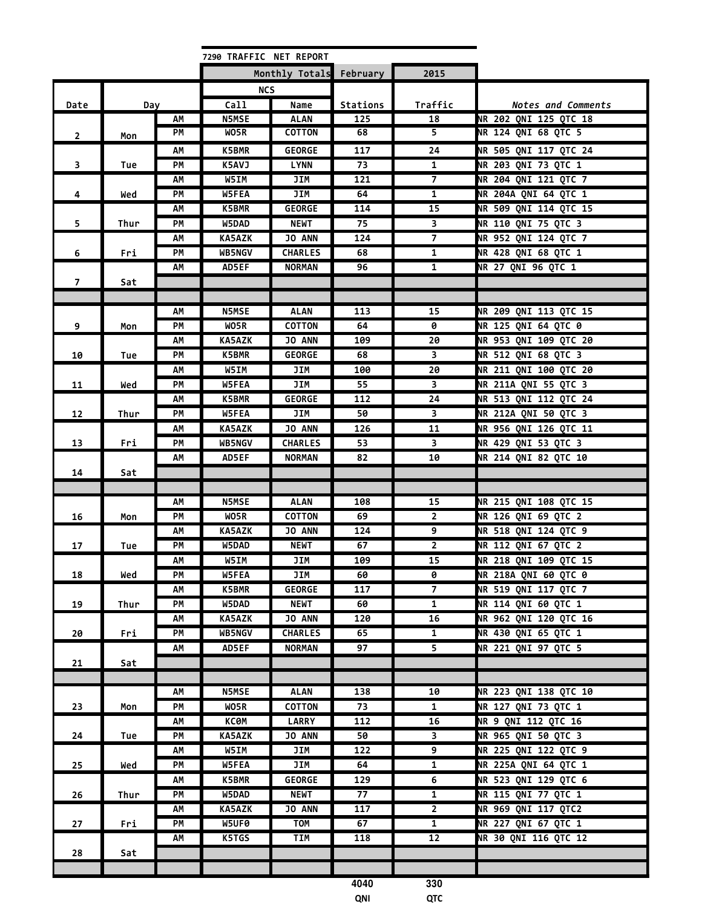| Monthly Totals<br>February<br>2015<br><b>NCS</b><br>Call<br>Traffic<br>Date<br>Name<br>Stations<br><b>Notes and Comments</b><br>Day<br>NR 202 QNI 125 QTC 18<br><b>N5MSE</b><br><b>ALAN</b><br>125<br>18<br>AΜ<br><b>NR 124 QNI 68 QTC 5</b><br>PМ<br>WO5R<br><b>COTTON</b><br>68<br>5.<br>$\overline{2}$<br>Mon<br>NR 505 QNI 117 QTC 24<br><b>K5BMR</b><br><b>GEORGE</b><br>117<br>24<br>АΜ<br>NR 203 QNI 73 QTC 1<br>$\overline{\mathbf{3}}$<br>PM<br>K5AVJ<br><b>LYNN</b><br>73<br>1<br>Tue<br><b>NR 204 QNI 121 QTC 7</b><br>W5IM<br>JIM<br>121<br>АΜ<br>7<br><b>NR 204A QNI 64 QTC 1</b><br>PM<br>W5FEA<br>JIM<br>4<br>64<br>$\mathbf{1}$<br>Wed<br><b>NR 509 QNI 114 QTC 15</b><br>15<br>AM<br><b>K5BMR</b><br><b>GEORGE</b><br>114<br>NR 110 QNI 75 QTC 3<br>5<br>PM<br><b>NEWT</b><br>75<br>$\overline{\mathbf{3}}$<br>W5DAD<br>Thur<br>NR 952 QNI 124 QTC 7<br>$\overline{7}$<br>KA5AZK<br>JO ANN<br>124<br>АΜ<br><b>NR 428 QNI 68 QTC 1</b><br>PM<br><b>CHARLES</b><br>$\mathbf{1}$<br>6<br><b>WB5NGV</b><br>68<br>Fri<br>NR 27 QNI 96 QTC 1<br>$\mathbf{1}$<br>AM<br>AD5EF<br><b>NORMAN</b><br>96<br>$\overline{7}$<br>Sat<br><b>N5MSE</b><br>15<br>NR 209 QNI 113 QTC 15<br>АΜ<br>ALAN<br>113<br>WO5R<br><b>NR 125 QNI 64 QTC 0</b><br>9<br>PM<br><b>COTTON</b><br>64<br>0<br>Mon<br>NR 953 QNI 109 QTC 20<br>KA5AZK<br>JO ANN<br>20<br>AM<br>109<br>NR 512 QNI 68 QTC 3<br>$\overline{\mathbf{3}}$<br><b>K5BMR</b><br><b>GEORGE</b><br>68<br>PМ<br>10<br>Tue<br><b>NR 211 QNI 100 QTC 20</b><br>W5IM<br>JIM<br>100<br>20<br>АΜ<br>JIM<br>NR 211A QNI 55 QTC 3<br>PM<br>W5FEA<br>55<br>3<br>11<br>Wed<br>NR 513 QNI 112 QTC 24<br><b>GEORGE</b><br>K5BMR<br>112<br>24<br>АΜ<br>NR 212A QNI 50 QTC 3<br>W5FEA<br>JIM<br>PМ<br>50<br>3<br>12<br>Thur<br>NR 956 QNI 126 QTC 11<br><b>KA5AZK</b><br><b>JO ANN</b><br>126<br>11<br>АΜ<br>NR 429 QNI 53 QTC 3<br>PM<br>WB5NGV<br><b>CHARLES</b><br>53<br>$\overline{\mathbf{3}}$<br>13<br>Fri<br><b>NR 214 QNI 82 QTC 10</b><br>AM<br>AD5EF<br><b>NORMAN</b><br>82<br>10<br>14<br>Sat<br>NR 215 QNI 108 QTC 15<br><b>N5MSE</b><br><b>ALAN</b><br>15<br>AΜ<br>108<br><b>NR 126 QNI 69 QTC 2</b><br>PM<br>WO5R<br><b>COTTON</b><br>69<br>$\overline{2}$<br>16<br>Mon<br><b>NR 518 QNI 124 QTC 9</b><br><b>KA5AZK</b><br><b>JO ANN</b><br>124<br>9<br>АΜ<br>NR 112 QNI 67 QTC 2<br>PM<br>W5DAD<br>$\overline{2}$<br><b>NEWT</b><br>67<br>17<br>Tue<br>W5IM<br>NR 218 QNI 109 QTC 15<br>АM<br>JIM<br>109<br>15<br><b>NR 218A QNI 60 QTC 0</b><br>0<br>PM<br>W5FEA<br>JIM<br>18<br>60<br>Wed<br>$\overline{7}$<br>NR 519 QNI 117 QTC 7<br><b>K5BMR</b><br><b>GEORGE</b><br>117<br>АΜ<br>$\overline{1}$<br><b>NR 114 QNI 60 QTC 1</b><br>19<br>PM<br>W5DAD<br><b>NEWT</b><br>60<br>Thur<br><b>NR 962 QNI 120 QTC 16</b><br>JO ANN<br><b>KA5AZK</b><br>16<br>АΜ<br>120<br>NR 430 QNI 65 QTC 1<br>WB5NGV<br><b>CHARLES</b><br>PM<br>65<br>20<br>Fri<br>$\mathbf{1}$<br>NR 221 QNI 97 QTC 5<br>AD5EF<br><b>NORMAN</b><br>97<br>5<br>AΜ<br>21<br>Sat<br>NR 223 QNI 138 QTC 10<br><b>N5MSE</b><br>10<br>АΜ<br><b>ALAN</b><br>138<br>NR 127 QNI 73 QTC 1<br>$\mathbf{1}$<br>23<br>PM<br>WO5R<br>COTTON<br>73<br>Mon<br>NR 9 QNI 112 QTC 16<br>16<br><b>KC0M</b><br><b>LARRY</b><br>112<br>АΜ<br>NR 965 QNI 50 QTC 3<br>PM<br><b>KA5AZK</b><br><b>JO ANN</b><br>50<br>24<br>3<br>Tue<br><b>NR 225 QNI 122 QTC 9</b><br>W5IM<br>JIM<br>9<br>АΜ<br>122<br>NR 225A QNI 64 QTC 1<br>PM<br>W5FEA<br>JIM<br>64<br>$\mathbf{1}$<br>25<br>Wed<br>NR 523 QNI 129 QTC 6<br>K5BMR<br><b>GEORGE</b><br>129<br>AΜ<br>6<br>77<br>NR 115 QNI 77 QTC 1<br>PM<br><b>NEWT</b><br>$\mathbf{1}$<br>W5DAD<br>26<br>Thur<br>NR 969 QNI 117 QTC2<br>$\overline{2}$<br><b>KA5AZK</b><br><b>JO ANN</b><br>117<br>АΜ<br>$\overline{1}$<br>NR 227 QNI 67 QTC 1<br>PM<br><b>TOM</b><br>W5UF0<br>67<br>27<br>Fri<br><b>NR 30 QNI 116 QTC 12</b><br>K5TGS<br><b>TIM</b><br>$12 \overline{ }$<br>АΜ<br>118<br>28<br>Sat<br>4040<br>330<br>QNI<br>QTC |  | 7290 TRAFFIC NET REPORT |  |  |
|-----------------------------------------------------------------------------------------------------------------------------------------------------------------------------------------------------------------------------------------------------------------------------------------------------------------------------------------------------------------------------------------------------------------------------------------------------------------------------------------------------------------------------------------------------------------------------------------------------------------------------------------------------------------------------------------------------------------------------------------------------------------------------------------------------------------------------------------------------------------------------------------------------------------------------------------------------------------------------------------------------------------------------------------------------------------------------------------------------------------------------------------------------------------------------------------------------------------------------------------------------------------------------------------------------------------------------------------------------------------------------------------------------------------------------------------------------------------------------------------------------------------------------------------------------------------------------------------------------------------------------------------------------------------------------------------------------------------------------------------------------------------------------------------------------------------------------------------------------------------------------------------------------------------------------------------------------------------------------------------------------------------------------------------------------------------------------------------------------------------------------------------------------------------------------------------------------------------------------------------------------------------------------------------------------------------------------------------------------------------------------------------------------------------------------------------------------------------------------------------------------------------------------------------------------------------------------------------------------------------------------------------------------------------------------------------------------------------------------------------------------------------------------------------------------------------------------------------------------------------------------------------------------------------------------------------------------------------------------------------------------------------------------------------------------------------------------------------------------------------------------------------------------------------------------------------------------------------------------------------------------------------------------------------------------------------------------------------------------------------------------------------------------------------------------------------------------------------------------------------------------------------------------------------------------------------------------------------------------------------------------------------------------------------------------------------------------------------------------------------------------------------------------------------------------------------------------------------------------------------------------------------------------------------------------------------------------------------|--|-------------------------|--|--|
|                                                                                                                                                                                                                                                                                                                                                                                                                                                                                                                                                                                                                                                                                                                                                                                                                                                                                                                                                                                                                                                                                                                                                                                                                                                                                                                                                                                                                                                                                                                                                                                                                                                                                                                                                                                                                                                                                                                                                                                                                                                                                                                                                                                                                                                                                                                                                                                                                                                                                                                                                                                                                                                                                                                                                                                                                                                                                                                                                                                                                                                                                                                                                                                                                                                                                                                                                                                                                                                                                                                                                                                                                                                                                                                                                                                                                                                                                                                                                                 |  |                         |  |  |
|                                                                                                                                                                                                                                                                                                                                                                                                                                                                                                                                                                                                                                                                                                                                                                                                                                                                                                                                                                                                                                                                                                                                                                                                                                                                                                                                                                                                                                                                                                                                                                                                                                                                                                                                                                                                                                                                                                                                                                                                                                                                                                                                                                                                                                                                                                                                                                                                                                                                                                                                                                                                                                                                                                                                                                                                                                                                                                                                                                                                                                                                                                                                                                                                                                                                                                                                                                                                                                                                                                                                                                                                                                                                                                                                                                                                                                                                                                                                                                 |  |                         |  |  |
|                                                                                                                                                                                                                                                                                                                                                                                                                                                                                                                                                                                                                                                                                                                                                                                                                                                                                                                                                                                                                                                                                                                                                                                                                                                                                                                                                                                                                                                                                                                                                                                                                                                                                                                                                                                                                                                                                                                                                                                                                                                                                                                                                                                                                                                                                                                                                                                                                                                                                                                                                                                                                                                                                                                                                                                                                                                                                                                                                                                                                                                                                                                                                                                                                                                                                                                                                                                                                                                                                                                                                                                                                                                                                                                                                                                                                                                                                                                                                                 |  |                         |  |  |
|                                                                                                                                                                                                                                                                                                                                                                                                                                                                                                                                                                                                                                                                                                                                                                                                                                                                                                                                                                                                                                                                                                                                                                                                                                                                                                                                                                                                                                                                                                                                                                                                                                                                                                                                                                                                                                                                                                                                                                                                                                                                                                                                                                                                                                                                                                                                                                                                                                                                                                                                                                                                                                                                                                                                                                                                                                                                                                                                                                                                                                                                                                                                                                                                                                                                                                                                                                                                                                                                                                                                                                                                                                                                                                                                                                                                                                                                                                                                                                 |  |                         |  |  |
|                                                                                                                                                                                                                                                                                                                                                                                                                                                                                                                                                                                                                                                                                                                                                                                                                                                                                                                                                                                                                                                                                                                                                                                                                                                                                                                                                                                                                                                                                                                                                                                                                                                                                                                                                                                                                                                                                                                                                                                                                                                                                                                                                                                                                                                                                                                                                                                                                                                                                                                                                                                                                                                                                                                                                                                                                                                                                                                                                                                                                                                                                                                                                                                                                                                                                                                                                                                                                                                                                                                                                                                                                                                                                                                                                                                                                                                                                                                                                                 |  |                         |  |  |
|                                                                                                                                                                                                                                                                                                                                                                                                                                                                                                                                                                                                                                                                                                                                                                                                                                                                                                                                                                                                                                                                                                                                                                                                                                                                                                                                                                                                                                                                                                                                                                                                                                                                                                                                                                                                                                                                                                                                                                                                                                                                                                                                                                                                                                                                                                                                                                                                                                                                                                                                                                                                                                                                                                                                                                                                                                                                                                                                                                                                                                                                                                                                                                                                                                                                                                                                                                                                                                                                                                                                                                                                                                                                                                                                                                                                                                                                                                                                                                 |  |                         |  |  |
|                                                                                                                                                                                                                                                                                                                                                                                                                                                                                                                                                                                                                                                                                                                                                                                                                                                                                                                                                                                                                                                                                                                                                                                                                                                                                                                                                                                                                                                                                                                                                                                                                                                                                                                                                                                                                                                                                                                                                                                                                                                                                                                                                                                                                                                                                                                                                                                                                                                                                                                                                                                                                                                                                                                                                                                                                                                                                                                                                                                                                                                                                                                                                                                                                                                                                                                                                                                                                                                                                                                                                                                                                                                                                                                                                                                                                                                                                                                                                                 |  |                         |  |  |
|                                                                                                                                                                                                                                                                                                                                                                                                                                                                                                                                                                                                                                                                                                                                                                                                                                                                                                                                                                                                                                                                                                                                                                                                                                                                                                                                                                                                                                                                                                                                                                                                                                                                                                                                                                                                                                                                                                                                                                                                                                                                                                                                                                                                                                                                                                                                                                                                                                                                                                                                                                                                                                                                                                                                                                                                                                                                                                                                                                                                                                                                                                                                                                                                                                                                                                                                                                                                                                                                                                                                                                                                                                                                                                                                                                                                                                                                                                                                                                 |  |                         |  |  |
|                                                                                                                                                                                                                                                                                                                                                                                                                                                                                                                                                                                                                                                                                                                                                                                                                                                                                                                                                                                                                                                                                                                                                                                                                                                                                                                                                                                                                                                                                                                                                                                                                                                                                                                                                                                                                                                                                                                                                                                                                                                                                                                                                                                                                                                                                                                                                                                                                                                                                                                                                                                                                                                                                                                                                                                                                                                                                                                                                                                                                                                                                                                                                                                                                                                                                                                                                                                                                                                                                                                                                                                                                                                                                                                                                                                                                                                                                                                                                                 |  |                         |  |  |
|                                                                                                                                                                                                                                                                                                                                                                                                                                                                                                                                                                                                                                                                                                                                                                                                                                                                                                                                                                                                                                                                                                                                                                                                                                                                                                                                                                                                                                                                                                                                                                                                                                                                                                                                                                                                                                                                                                                                                                                                                                                                                                                                                                                                                                                                                                                                                                                                                                                                                                                                                                                                                                                                                                                                                                                                                                                                                                                                                                                                                                                                                                                                                                                                                                                                                                                                                                                                                                                                                                                                                                                                                                                                                                                                                                                                                                                                                                                                                                 |  |                         |  |  |
|                                                                                                                                                                                                                                                                                                                                                                                                                                                                                                                                                                                                                                                                                                                                                                                                                                                                                                                                                                                                                                                                                                                                                                                                                                                                                                                                                                                                                                                                                                                                                                                                                                                                                                                                                                                                                                                                                                                                                                                                                                                                                                                                                                                                                                                                                                                                                                                                                                                                                                                                                                                                                                                                                                                                                                                                                                                                                                                                                                                                                                                                                                                                                                                                                                                                                                                                                                                                                                                                                                                                                                                                                                                                                                                                                                                                                                                                                                                                                                 |  |                         |  |  |
|                                                                                                                                                                                                                                                                                                                                                                                                                                                                                                                                                                                                                                                                                                                                                                                                                                                                                                                                                                                                                                                                                                                                                                                                                                                                                                                                                                                                                                                                                                                                                                                                                                                                                                                                                                                                                                                                                                                                                                                                                                                                                                                                                                                                                                                                                                                                                                                                                                                                                                                                                                                                                                                                                                                                                                                                                                                                                                                                                                                                                                                                                                                                                                                                                                                                                                                                                                                                                                                                                                                                                                                                                                                                                                                                                                                                                                                                                                                                                                 |  |                         |  |  |
|                                                                                                                                                                                                                                                                                                                                                                                                                                                                                                                                                                                                                                                                                                                                                                                                                                                                                                                                                                                                                                                                                                                                                                                                                                                                                                                                                                                                                                                                                                                                                                                                                                                                                                                                                                                                                                                                                                                                                                                                                                                                                                                                                                                                                                                                                                                                                                                                                                                                                                                                                                                                                                                                                                                                                                                                                                                                                                                                                                                                                                                                                                                                                                                                                                                                                                                                                                                                                                                                                                                                                                                                                                                                                                                                                                                                                                                                                                                                                                 |  |                         |  |  |
|                                                                                                                                                                                                                                                                                                                                                                                                                                                                                                                                                                                                                                                                                                                                                                                                                                                                                                                                                                                                                                                                                                                                                                                                                                                                                                                                                                                                                                                                                                                                                                                                                                                                                                                                                                                                                                                                                                                                                                                                                                                                                                                                                                                                                                                                                                                                                                                                                                                                                                                                                                                                                                                                                                                                                                                                                                                                                                                                                                                                                                                                                                                                                                                                                                                                                                                                                                                                                                                                                                                                                                                                                                                                                                                                                                                                                                                                                                                                                                 |  |                         |  |  |
|                                                                                                                                                                                                                                                                                                                                                                                                                                                                                                                                                                                                                                                                                                                                                                                                                                                                                                                                                                                                                                                                                                                                                                                                                                                                                                                                                                                                                                                                                                                                                                                                                                                                                                                                                                                                                                                                                                                                                                                                                                                                                                                                                                                                                                                                                                                                                                                                                                                                                                                                                                                                                                                                                                                                                                                                                                                                                                                                                                                                                                                                                                                                                                                                                                                                                                                                                                                                                                                                                                                                                                                                                                                                                                                                                                                                                                                                                                                                                                 |  |                         |  |  |
|                                                                                                                                                                                                                                                                                                                                                                                                                                                                                                                                                                                                                                                                                                                                                                                                                                                                                                                                                                                                                                                                                                                                                                                                                                                                                                                                                                                                                                                                                                                                                                                                                                                                                                                                                                                                                                                                                                                                                                                                                                                                                                                                                                                                                                                                                                                                                                                                                                                                                                                                                                                                                                                                                                                                                                                                                                                                                                                                                                                                                                                                                                                                                                                                                                                                                                                                                                                                                                                                                                                                                                                                                                                                                                                                                                                                                                                                                                                                                                 |  |                         |  |  |
|                                                                                                                                                                                                                                                                                                                                                                                                                                                                                                                                                                                                                                                                                                                                                                                                                                                                                                                                                                                                                                                                                                                                                                                                                                                                                                                                                                                                                                                                                                                                                                                                                                                                                                                                                                                                                                                                                                                                                                                                                                                                                                                                                                                                                                                                                                                                                                                                                                                                                                                                                                                                                                                                                                                                                                                                                                                                                                                                                                                                                                                                                                                                                                                                                                                                                                                                                                                                                                                                                                                                                                                                                                                                                                                                                                                                                                                                                                                                                                 |  |                         |  |  |
|                                                                                                                                                                                                                                                                                                                                                                                                                                                                                                                                                                                                                                                                                                                                                                                                                                                                                                                                                                                                                                                                                                                                                                                                                                                                                                                                                                                                                                                                                                                                                                                                                                                                                                                                                                                                                                                                                                                                                                                                                                                                                                                                                                                                                                                                                                                                                                                                                                                                                                                                                                                                                                                                                                                                                                                                                                                                                                                                                                                                                                                                                                                                                                                                                                                                                                                                                                                                                                                                                                                                                                                                                                                                                                                                                                                                                                                                                                                                                                 |  |                         |  |  |
|                                                                                                                                                                                                                                                                                                                                                                                                                                                                                                                                                                                                                                                                                                                                                                                                                                                                                                                                                                                                                                                                                                                                                                                                                                                                                                                                                                                                                                                                                                                                                                                                                                                                                                                                                                                                                                                                                                                                                                                                                                                                                                                                                                                                                                                                                                                                                                                                                                                                                                                                                                                                                                                                                                                                                                                                                                                                                                                                                                                                                                                                                                                                                                                                                                                                                                                                                                                                                                                                                                                                                                                                                                                                                                                                                                                                                                                                                                                                                                 |  |                         |  |  |
|                                                                                                                                                                                                                                                                                                                                                                                                                                                                                                                                                                                                                                                                                                                                                                                                                                                                                                                                                                                                                                                                                                                                                                                                                                                                                                                                                                                                                                                                                                                                                                                                                                                                                                                                                                                                                                                                                                                                                                                                                                                                                                                                                                                                                                                                                                                                                                                                                                                                                                                                                                                                                                                                                                                                                                                                                                                                                                                                                                                                                                                                                                                                                                                                                                                                                                                                                                                                                                                                                                                                                                                                                                                                                                                                                                                                                                                                                                                                                                 |  |                         |  |  |
|                                                                                                                                                                                                                                                                                                                                                                                                                                                                                                                                                                                                                                                                                                                                                                                                                                                                                                                                                                                                                                                                                                                                                                                                                                                                                                                                                                                                                                                                                                                                                                                                                                                                                                                                                                                                                                                                                                                                                                                                                                                                                                                                                                                                                                                                                                                                                                                                                                                                                                                                                                                                                                                                                                                                                                                                                                                                                                                                                                                                                                                                                                                                                                                                                                                                                                                                                                                                                                                                                                                                                                                                                                                                                                                                                                                                                                                                                                                                                                 |  |                         |  |  |
|                                                                                                                                                                                                                                                                                                                                                                                                                                                                                                                                                                                                                                                                                                                                                                                                                                                                                                                                                                                                                                                                                                                                                                                                                                                                                                                                                                                                                                                                                                                                                                                                                                                                                                                                                                                                                                                                                                                                                                                                                                                                                                                                                                                                                                                                                                                                                                                                                                                                                                                                                                                                                                                                                                                                                                                                                                                                                                                                                                                                                                                                                                                                                                                                                                                                                                                                                                                                                                                                                                                                                                                                                                                                                                                                                                                                                                                                                                                                                                 |  |                         |  |  |
|                                                                                                                                                                                                                                                                                                                                                                                                                                                                                                                                                                                                                                                                                                                                                                                                                                                                                                                                                                                                                                                                                                                                                                                                                                                                                                                                                                                                                                                                                                                                                                                                                                                                                                                                                                                                                                                                                                                                                                                                                                                                                                                                                                                                                                                                                                                                                                                                                                                                                                                                                                                                                                                                                                                                                                                                                                                                                                                                                                                                                                                                                                                                                                                                                                                                                                                                                                                                                                                                                                                                                                                                                                                                                                                                                                                                                                                                                                                                                                 |  |                         |  |  |
|                                                                                                                                                                                                                                                                                                                                                                                                                                                                                                                                                                                                                                                                                                                                                                                                                                                                                                                                                                                                                                                                                                                                                                                                                                                                                                                                                                                                                                                                                                                                                                                                                                                                                                                                                                                                                                                                                                                                                                                                                                                                                                                                                                                                                                                                                                                                                                                                                                                                                                                                                                                                                                                                                                                                                                                                                                                                                                                                                                                                                                                                                                                                                                                                                                                                                                                                                                                                                                                                                                                                                                                                                                                                                                                                                                                                                                                                                                                                                                 |  |                         |  |  |
|                                                                                                                                                                                                                                                                                                                                                                                                                                                                                                                                                                                                                                                                                                                                                                                                                                                                                                                                                                                                                                                                                                                                                                                                                                                                                                                                                                                                                                                                                                                                                                                                                                                                                                                                                                                                                                                                                                                                                                                                                                                                                                                                                                                                                                                                                                                                                                                                                                                                                                                                                                                                                                                                                                                                                                                                                                                                                                                                                                                                                                                                                                                                                                                                                                                                                                                                                                                                                                                                                                                                                                                                                                                                                                                                                                                                                                                                                                                                                                 |  |                         |  |  |
|                                                                                                                                                                                                                                                                                                                                                                                                                                                                                                                                                                                                                                                                                                                                                                                                                                                                                                                                                                                                                                                                                                                                                                                                                                                                                                                                                                                                                                                                                                                                                                                                                                                                                                                                                                                                                                                                                                                                                                                                                                                                                                                                                                                                                                                                                                                                                                                                                                                                                                                                                                                                                                                                                                                                                                                                                                                                                                                                                                                                                                                                                                                                                                                                                                                                                                                                                                                                                                                                                                                                                                                                                                                                                                                                                                                                                                                                                                                                                                 |  |                         |  |  |
|                                                                                                                                                                                                                                                                                                                                                                                                                                                                                                                                                                                                                                                                                                                                                                                                                                                                                                                                                                                                                                                                                                                                                                                                                                                                                                                                                                                                                                                                                                                                                                                                                                                                                                                                                                                                                                                                                                                                                                                                                                                                                                                                                                                                                                                                                                                                                                                                                                                                                                                                                                                                                                                                                                                                                                                                                                                                                                                                                                                                                                                                                                                                                                                                                                                                                                                                                                                                                                                                                                                                                                                                                                                                                                                                                                                                                                                                                                                                                                 |  |                         |  |  |
|                                                                                                                                                                                                                                                                                                                                                                                                                                                                                                                                                                                                                                                                                                                                                                                                                                                                                                                                                                                                                                                                                                                                                                                                                                                                                                                                                                                                                                                                                                                                                                                                                                                                                                                                                                                                                                                                                                                                                                                                                                                                                                                                                                                                                                                                                                                                                                                                                                                                                                                                                                                                                                                                                                                                                                                                                                                                                                                                                                                                                                                                                                                                                                                                                                                                                                                                                                                                                                                                                                                                                                                                                                                                                                                                                                                                                                                                                                                                                                 |  |                         |  |  |
|                                                                                                                                                                                                                                                                                                                                                                                                                                                                                                                                                                                                                                                                                                                                                                                                                                                                                                                                                                                                                                                                                                                                                                                                                                                                                                                                                                                                                                                                                                                                                                                                                                                                                                                                                                                                                                                                                                                                                                                                                                                                                                                                                                                                                                                                                                                                                                                                                                                                                                                                                                                                                                                                                                                                                                                                                                                                                                                                                                                                                                                                                                                                                                                                                                                                                                                                                                                                                                                                                                                                                                                                                                                                                                                                                                                                                                                                                                                                                                 |  |                         |  |  |
|                                                                                                                                                                                                                                                                                                                                                                                                                                                                                                                                                                                                                                                                                                                                                                                                                                                                                                                                                                                                                                                                                                                                                                                                                                                                                                                                                                                                                                                                                                                                                                                                                                                                                                                                                                                                                                                                                                                                                                                                                                                                                                                                                                                                                                                                                                                                                                                                                                                                                                                                                                                                                                                                                                                                                                                                                                                                                                                                                                                                                                                                                                                                                                                                                                                                                                                                                                                                                                                                                                                                                                                                                                                                                                                                                                                                                                                                                                                                                                 |  |                         |  |  |
|                                                                                                                                                                                                                                                                                                                                                                                                                                                                                                                                                                                                                                                                                                                                                                                                                                                                                                                                                                                                                                                                                                                                                                                                                                                                                                                                                                                                                                                                                                                                                                                                                                                                                                                                                                                                                                                                                                                                                                                                                                                                                                                                                                                                                                                                                                                                                                                                                                                                                                                                                                                                                                                                                                                                                                                                                                                                                                                                                                                                                                                                                                                                                                                                                                                                                                                                                                                                                                                                                                                                                                                                                                                                                                                                                                                                                                                                                                                                                                 |  |                         |  |  |
|                                                                                                                                                                                                                                                                                                                                                                                                                                                                                                                                                                                                                                                                                                                                                                                                                                                                                                                                                                                                                                                                                                                                                                                                                                                                                                                                                                                                                                                                                                                                                                                                                                                                                                                                                                                                                                                                                                                                                                                                                                                                                                                                                                                                                                                                                                                                                                                                                                                                                                                                                                                                                                                                                                                                                                                                                                                                                                                                                                                                                                                                                                                                                                                                                                                                                                                                                                                                                                                                                                                                                                                                                                                                                                                                                                                                                                                                                                                                                                 |  |                         |  |  |
|                                                                                                                                                                                                                                                                                                                                                                                                                                                                                                                                                                                                                                                                                                                                                                                                                                                                                                                                                                                                                                                                                                                                                                                                                                                                                                                                                                                                                                                                                                                                                                                                                                                                                                                                                                                                                                                                                                                                                                                                                                                                                                                                                                                                                                                                                                                                                                                                                                                                                                                                                                                                                                                                                                                                                                                                                                                                                                                                                                                                                                                                                                                                                                                                                                                                                                                                                                                                                                                                                                                                                                                                                                                                                                                                                                                                                                                                                                                                                                 |  |                         |  |  |
|                                                                                                                                                                                                                                                                                                                                                                                                                                                                                                                                                                                                                                                                                                                                                                                                                                                                                                                                                                                                                                                                                                                                                                                                                                                                                                                                                                                                                                                                                                                                                                                                                                                                                                                                                                                                                                                                                                                                                                                                                                                                                                                                                                                                                                                                                                                                                                                                                                                                                                                                                                                                                                                                                                                                                                                                                                                                                                                                                                                                                                                                                                                                                                                                                                                                                                                                                                                                                                                                                                                                                                                                                                                                                                                                                                                                                                                                                                                                                                 |  |                         |  |  |
|                                                                                                                                                                                                                                                                                                                                                                                                                                                                                                                                                                                                                                                                                                                                                                                                                                                                                                                                                                                                                                                                                                                                                                                                                                                                                                                                                                                                                                                                                                                                                                                                                                                                                                                                                                                                                                                                                                                                                                                                                                                                                                                                                                                                                                                                                                                                                                                                                                                                                                                                                                                                                                                                                                                                                                                                                                                                                                                                                                                                                                                                                                                                                                                                                                                                                                                                                                                                                                                                                                                                                                                                                                                                                                                                                                                                                                                                                                                                                                 |  |                         |  |  |
|                                                                                                                                                                                                                                                                                                                                                                                                                                                                                                                                                                                                                                                                                                                                                                                                                                                                                                                                                                                                                                                                                                                                                                                                                                                                                                                                                                                                                                                                                                                                                                                                                                                                                                                                                                                                                                                                                                                                                                                                                                                                                                                                                                                                                                                                                                                                                                                                                                                                                                                                                                                                                                                                                                                                                                                                                                                                                                                                                                                                                                                                                                                                                                                                                                                                                                                                                                                                                                                                                                                                                                                                                                                                                                                                                                                                                                                                                                                                                                 |  |                         |  |  |
|                                                                                                                                                                                                                                                                                                                                                                                                                                                                                                                                                                                                                                                                                                                                                                                                                                                                                                                                                                                                                                                                                                                                                                                                                                                                                                                                                                                                                                                                                                                                                                                                                                                                                                                                                                                                                                                                                                                                                                                                                                                                                                                                                                                                                                                                                                                                                                                                                                                                                                                                                                                                                                                                                                                                                                                                                                                                                                                                                                                                                                                                                                                                                                                                                                                                                                                                                                                                                                                                                                                                                                                                                                                                                                                                                                                                                                                                                                                                                                 |  |                         |  |  |
|                                                                                                                                                                                                                                                                                                                                                                                                                                                                                                                                                                                                                                                                                                                                                                                                                                                                                                                                                                                                                                                                                                                                                                                                                                                                                                                                                                                                                                                                                                                                                                                                                                                                                                                                                                                                                                                                                                                                                                                                                                                                                                                                                                                                                                                                                                                                                                                                                                                                                                                                                                                                                                                                                                                                                                                                                                                                                                                                                                                                                                                                                                                                                                                                                                                                                                                                                                                                                                                                                                                                                                                                                                                                                                                                                                                                                                                                                                                                                                 |  |                         |  |  |
|                                                                                                                                                                                                                                                                                                                                                                                                                                                                                                                                                                                                                                                                                                                                                                                                                                                                                                                                                                                                                                                                                                                                                                                                                                                                                                                                                                                                                                                                                                                                                                                                                                                                                                                                                                                                                                                                                                                                                                                                                                                                                                                                                                                                                                                                                                                                                                                                                                                                                                                                                                                                                                                                                                                                                                                                                                                                                                                                                                                                                                                                                                                                                                                                                                                                                                                                                                                                                                                                                                                                                                                                                                                                                                                                                                                                                                                                                                                                                                 |  |                         |  |  |
|                                                                                                                                                                                                                                                                                                                                                                                                                                                                                                                                                                                                                                                                                                                                                                                                                                                                                                                                                                                                                                                                                                                                                                                                                                                                                                                                                                                                                                                                                                                                                                                                                                                                                                                                                                                                                                                                                                                                                                                                                                                                                                                                                                                                                                                                                                                                                                                                                                                                                                                                                                                                                                                                                                                                                                                                                                                                                                                                                                                                                                                                                                                                                                                                                                                                                                                                                                                                                                                                                                                                                                                                                                                                                                                                                                                                                                                                                                                                                                 |  |                         |  |  |
|                                                                                                                                                                                                                                                                                                                                                                                                                                                                                                                                                                                                                                                                                                                                                                                                                                                                                                                                                                                                                                                                                                                                                                                                                                                                                                                                                                                                                                                                                                                                                                                                                                                                                                                                                                                                                                                                                                                                                                                                                                                                                                                                                                                                                                                                                                                                                                                                                                                                                                                                                                                                                                                                                                                                                                                                                                                                                                                                                                                                                                                                                                                                                                                                                                                                                                                                                                                                                                                                                                                                                                                                                                                                                                                                                                                                                                                                                                                                                                 |  |                         |  |  |
|                                                                                                                                                                                                                                                                                                                                                                                                                                                                                                                                                                                                                                                                                                                                                                                                                                                                                                                                                                                                                                                                                                                                                                                                                                                                                                                                                                                                                                                                                                                                                                                                                                                                                                                                                                                                                                                                                                                                                                                                                                                                                                                                                                                                                                                                                                                                                                                                                                                                                                                                                                                                                                                                                                                                                                                                                                                                                                                                                                                                                                                                                                                                                                                                                                                                                                                                                                                                                                                                                                                                                                                                                                                                                                                                                                                                                                                                                                                                                                 |  |                         |  |  |
|                                                                                                                                                                                                                                                                                                                                                                                                                                                                                                                                                                                                                                                                                                                                                                                                                                                                                                                                                                                                                                                                                                                                                                                                                                                                                                                                                                                                                                                                                                                                                                                                                                                                                                                                                                                                                                                                                                                                                                                                                                                                                                                                                                                                                                                                                                                                                                                                                                                                                                                                                                                                                                                                                                                                                                                                                                                                                                                                                                                                                                                                                                                                                                                                                                                                                                                                                                                                                                                                                                                                                                                                                                                                                                                                                                                                                                                                                                                                                                 |  |                         |  |  |
|                                                                                                                                                                                                                                                                                                                                                                                                                                                                                                                                                                                                                                                                                                                                                                                                                                                                                                                                                                                                                                                                                                                                                                                                                                                                                                                                                                                                                                                                                                                                                                                                                                                                                                                                                                                                                                                                                                                                                                                                                                                                                                                                                                                                                                                                                                                                                                                                                                                                                                                                                                                                                                                                                                                                                                                                                                                                                                                                                                                                                                                                                                                                                                                                                                                                                                                                                                                                                                                                                                                                                                                                                                                                                                                                                                                                                                                                                                                                                                 |  |                         |  |  |
|                                                                                                                                                                                                                                                                                                                                                                                                                                                                                                                                                                                                                                                                                                                                                                                                                                                                                                                                                                                                                                                                                                                                                                                                                                                                                                                                                                                                                                                                                                                                                                                                                                                                                                                                                                                                                                                                                                                                                                                                                                                                                                                                                                                                                                                                                                                                                                                                                                                                                                                                                                                                                                                                                                                                                                                                                                                                                                                                                                                                                                                                                                                                                                                                                                                                                                                                                                                                                                                                                                                                                                                                                                                                                                                                                                                                                                                                                                                                                                 |  |                         |  |  |
|                                                                                                                                                                                                                                                                                                                                                                                                                                                                                                                                                                                                                                                                                                                                                                                                                                                                                                                                                                                                                                                                                                                                                                                                                                                                                                                                                                                                                                                                                                                                                                                                                                                                                                                                                                                                                                                                                                                                                                                                                                                                                                                                                                                                                                                                                                                                                                                                                                                                                                                                                                                                                                                                                                                                                                                                                                                                                                                                                                                                                                                                                                                                                                                                                                                                                                                                                                                                                                                                                                                                                                                                                                                                                                                                                                                                                                                                                                                                                                 |  |                         |  |  |
|                                                                                                                                                                                                                                                                                                                                                                                                                                                                                                                                                                                                                                                                                                                                                                                                                                                                                                                                                                                                                                                                                                                                                                                                                                                                                                                                                                                                                                                                                                                                                                                                                                                                                                                                                                                                                                                                                                                                                                                                                                                                                                                                                                                                                                                                                                                                                                                                                                                                                                                                                                                                                                                                                                                                                                                                                                                                                                                                                                                                                                                                                                                                                                                                                                                                                                                                                                                                                                                                                                                                                                                                                                                                                                                                                                                                                                                                                                                                                                 |  |                         |  |  |
|                                                                                                                                                                                                                                                                                                                                                                                                                                                                                                                                                                                                                                                                                                                                                                                                                                                                                                                                                                                                                                                                                                                                                                                                                                                                                                                                                                                                                                                                                                                                                                                                                                                                                                                                                                                                                                                                                                                                                                                                                                                                                                                                                                                                                                                                                                                                                                                                                                                                                                                                                                                                                                                                                                                                                                                                                                                                                                                                                                                                                                                                                                                                                                                                                                                                                                                                                                                                                                                                                                                                                                                                                                                                                                                                                                                                                                                                                                                                                                 |  |                         |  |  |
|                                                                                                                                                                                                                                                                                                                                                                                                                                                                                                                                                                                                                                                                                                                                                                                                                                                                                                                                                                                                                                                                                                                                                                                                                                                                                                                                                                                                                                                                                                                                                                                                                                                                                                                                                                                                                                                                                                                                                                                                                                                                                                                                                                                                                                                                                                                                                                                                                                                                                                                                                                                                                                                                                                                                                                                                                                                                                                                                                                                                                                                                                                                                                                                                                                                                                                                                                                                                                                                                                                                                                                                                                                                                                                                                                                                                                                                                                                                                                                 |  |                         |  |  |
|                                                                                                                                                                                                                                                                                                                                                                                                                                                                                                                                                                                                                                                                                                                                                                                                                                                                                                                                                                                                                                                                                                                                                                                                                                                                                                                                                                                                                                                                                                                                                                                                                                                                                                                                                                                                                                                                                                                                                                                                                                                                                                                                                                                                                                                                                                                                                                                                                                                                                                                                                                                                                                                                                                                                                                                                                                                                                                                                                                                                                                                                                                                                                                                                                                                                                                                                                                                                                                                                                                                                                                                                                                                                                                                                                                                                                                                                                                                                                                 |  |                         |  |  |
|                                                                                                                                                                                                                                                                                                                                                                                                                                                                                                                                                                                                                                                                                                                                                                                                                                                                                                                                                                                                                                                                                                                                                                                                                                                                                                                                                                                                                                                                                                                                                                                                                                                                                                                                                                                                                                                                                                                                                                                                                                                                                                                                                                                                                                                                                                                                                                                                                                                                                                                                                                                                                                                                                                                                                                                                                                                                                                                                                                                                                                                                                                                                                                                                                                                                                                                                                                                                                                                                                                                                                                                                                                                                                                                                                                                                                                                                                                                                                                 |  |                         |  |  |
|                                                                                                                                                                                                                                                                                                                                                                                                                                                                                                                                                                                                                                                                                                                                                                                                                                                                                                                                                                                                                                                                                                                                                                                                                                                                                                                                                                                                                                                                                                                                                                                                                                                                                                                                                                                                                                                                                                                                                                                                                                                                                                                                                                                                                                                                                                                                                                                                                                                                                                                                                                                                                                                                                                                                                                                                                                                                                                                                                                                                                                                                                                                                                                                                                                                                                                                                                                                                                                                                                                                                                                                                                                                                                                                                                                                                                                                                                                                                                                 |  |                         |  |  |
|                                                                                                                                                                                                                                                                                                                                                                                                                                                                                                                                                                                                                                                                                                                                                                                                                                                                                                                                                                                                                                                                                                                                                                                                                                                                                                                                                                                                                                                                                                                                                                                                                                                                                                                                                                                                                                                                                                                                                                                                                                                                                                                                                                                                                                                                                                                                                                                                                                                                                                                                                                                                                                                                                                                                                                                                                                                                                                                                                                                                                                                                                                                                                                                                                                                                                                                                                                                                                                                                                                                                                                                                                                                                                                                                                                                                                                                                                                                                                                 |  |                         |  |  |
|                                                                                                                                                                                                                                                                                                                                                                                                                                                                                                                                                                                                                                                                                                                                                                                                                                                                                                                                                                                                                                                                                                                                                                                                                                                                                                                                                                                                                                                                                                                                                                                                                                                                                                                                                                                                                                                                                                                                                                                                                                                                                                                                                                                                                                                                                                                                                                                                                                                                                                                                                                                                                                                                                                                                                                                                                                                                                                                                                                                                                                                                                                                                                                                                                                                                                                                                                                                                                                                                                                                                                                                                                                                                                                                                                                                                                                                                                                                                                                 |  |                         |  |  |
|                                                                                                                                                                                                                                                                                                                                                                                                                                                                                                                                                                                                                                                                                                                                                                                                                                                                                                                                                                                                                                                                                                                                                                                                                                                                                                                                                                                                                                                                                                                                                                                                                                                                                                                                                                                                                                                                                                                                                                                                                                                                                                                                                                                                                                                                                                                                                                                                                                                                                                                                                                                                                                                                                                                                                                                                                                                                                                                                                                                                                                                                                                                                                                                                                                                                                                                                                                                                                                                                                                                                                                                                                                                                                                                                                                                                                                                                                                                                                                 |  |                         |  |  |
|                                                                                                                                                                                                                                                                                                                                                                                                                                                                                                                                                                                                                                                                                                                                                                                                                                                                                                                                                                                                                                                                                                                                                                                                                                                                                                                                                                                                                                                                                                                                                                                                                                                                                                                                                                                                                                                                                                                                                                                                                                                                                                                                                                                                                                                                                                                                                                                                                                                                                                                                                                                                                                                                                                                                                                                                                                                                                                                                                                                                                                                                                                                                                                                                                                                                                                                                                                                                                                                                                                                                                                                                                                                                                                                                                                                                                                                                                                                                                                 |  |                         |  |  |
|                                                                                                                                                                                                                                                                                                                                                                                                                                                                                                                                                                                                                                                                                                                                                                                                                                                                                                                                                                                                                                                                                                                                                                                                                                                                                                                                                                                                                                                                                                                                                                                                                                                                                                                                                                                                                                                                                                                                                                                                                                                                                                                                                                                                                                                                                                                                                                                                                                                                                                                                                                                                                                                                                                                                                                                                                                                                                                                                                                                                                                                                                                                                                                                                                                                                                                                                                                                                                                                                                                                                                                                                                                                                                                                                                                                                                                                                                                                                                                 |  |                         |  |  |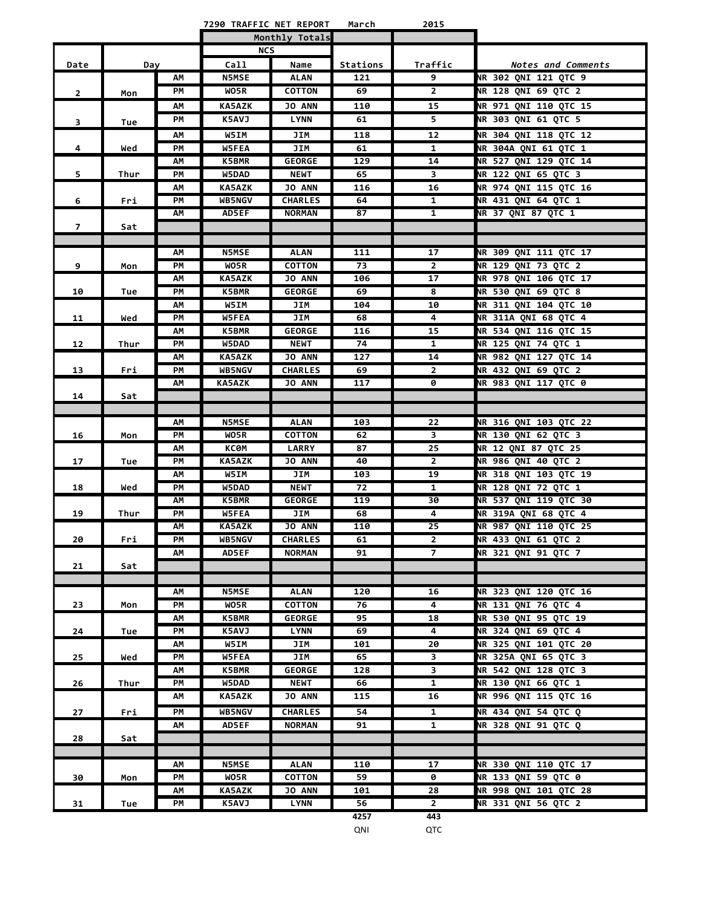|                |      |          | 7290 TRAFFIC NET REPORT |                    | March     | 2015           |                                                     |
|----------------|------|----------|-------------------------|--------------------|-----------|----------------|-----------------------------------------------------|
|                |      |          |                         | Monthly Totals     |           |                |                                                     |
|                |      |          | <b>NCS</b>              |                    |           |                |                                                     |
| Date           | Day  |          | Call                    | Name               | Stations  | Traffic        | Notes and Comments                                  |
|                |      | АΜ       | <b>N5MSE</b>            | <b>ALAN</b>        | 121       | 9              | NR 302 QNI 121 QTC 9                                |
| $\overline{2}$ | Mon  | PМ       | WO5R                    | <b>COTTON</b>      | 69        | $\mathbf{2}$   | NR 128 QNI 69 QTC 2                                 |
|                |      | АΜ       | <b>KA5AZK</b>           | <b>JO ANN</b>      | 110       | 15             | NR 971 ONI 110 OTC 15                               |
| 3              | Tue  | PМ       | <b>K5AVJ</b>            | <b>LYNN</b>        | 61        | 5.             | NR 303 QNI 61 QTC 5                                 |
|                |      | АΜ       | W5IM                    | JIM                | 118       | 12             | NR 304 QNI 118 QTC 12                               |
| 4              | Wed  | PМ       | <b>W5FEA</b>            | JIM                | 61        | 1              | NR 304A ONI 61 OTC 1                                |
|                |      | АΜ       | <b>K5BMR</b>            | <b>GEORGE</b>      | 129       | 14             | NR 527 QNI 129 QTC 14                               |
| 5              | Thur | PМ       | W5DAD                   | <b>NEWT</b>        | 65        | 3              | NR 122 QNI 65 QTC 3                                 |
|                |      | АΜ       | <b>KA5AZK</b>           | <b>JO ANN</b>      | 116       | 16             | NR 974 QNI 115 QTC 16                               |
| 6              | Fri  | PМ       | <b>WB5NGV</b>           | <b>CHARLES</b>     | 64        | 1              | <b>NR 431 QNI 64 QTC 1</b>                          |
|                |      | АΜ       | <b>AD5EF</b>            | <b>NORMAN</b>      | 87        | $\mathbf{1}$   | <b>NR 37 QNI 87 QTC 1</b>                           |
| $\overline{7}$ | Sat  |          |                         |                    |           |                |                                                     |
|                |      |          |                         |                    |           |                |                                                     |
|                |      | АΜ       | <b>N5MSE</b>            | <b>ALAN</b>        | 111       | 17             | NR 309 QNI 111 QTC 17                               |
| 9              | Mon  | PМ       | WO5R                    | <b>COTTON</b>      | 73        | $\overline{2}$ | NR 129 QNI 73 QTC 2                                 |
|                |      | АΜ       | <b>KA5AZK</b>           | <b>JO ANN</b>      | 106       | 17             | NR 978 QNI 106 QTC 17                               |
| 10             | Tue  | PM       | <b>K5BMR</b>            | <b>GEORGE</b>      | 69        | 8              | NR 530 QNI 69 QTC 8                                 |
|                |      | ΑМ       | W5IM                    | JIM                | 104       | 10             | <b>NR 311 QNI 104 QTC 10</b>                        |
| 11             | Wed  | PМ       | <b>W5FEA</b>            | JIM                | 68        | 4              | <b>NR 311A QNI 68 QTC 4</b>                         |
|                |      | АΜ       | K5BMR                   | <b>GEORGE</b>      | 116       | 15             | NR 534 QNI 116 QTC 15                               |
| 12             | Thur | PМ       | W5DAD                   | <b>NEWT</b>        | 74        | 1              | NR 125 QNI 74 QTC 1                                 |
|                |      | ΑМ       | <b>KA5AZK</b>           | <b>JO ANN</b>      | 127       | 14             | NR 982 QNI 127 QTC 14                               |
| 13             | Fri  | PМ       | WB5NGV                  | <b>CHARLES</b>     | 69        | $\mathbf{2}$   | NR 432 QNI 69 QTC 2                                 |
|                |      | АΜ       | <b>KA5AZK</b>           | <b>JO ANN</b>      | 117       | 0              | <b>NR 983 QNI 117 QTC 0</b>                         |
| 14             | Sat  |          |                         |                    |           |                |                                                     |
|                |      |          |                         |                    |           |                |                                                     |
|                |      | АΜ       | <b>N5MSE</b>            | <b>ALAN</b>        | 103       | 22             | NR 316 QNI 103 QTC 22                               |
| 16             | Mon  | PМ       | WO5R                    | <b>COTTON</b>      | 62        | 3              | NR 130 QNI 62 QTC 3                                 |
|                |      | АΜ       | КСӨМ                    | LARRY              | 87        | 25             | NR 12 QNI 87 QTC 25                                 |
| 17             | Tue  | PM       | <b>KA5AZK</b>           | <b>JO ANN</b>      | 40        | $\mathbf{2}$   | <b>NR 986 QNI 40 QTC 2</b>                          |
|                |      | АΜ<br>PM | W5IM<br>W5DAD           | JIM<br><b>NEWT</b> | 103<br>72 | 19<br>1        | NR 318 QNI 103 QTC 19<br><b>NR 128 ONI 72 OTC 1</b> |
| 18             | Wed  | ΑМ       | <b>K5BMR</b>            | <b>GEORGE</b>      | 119       | 30             | NR 537 QNI 119 QTC 30                               |
| 19             | Thur | PМ       | W5FEA                   | JIM                | 68        | 4              | NR 319A QNI 68 QTC 4                                |
|                |      | AΜ       | <b>KA5AZK</b>           | <b>JO ANN</b>      | 110       | 25             | NR 987 QNI 110 QTC 25                               |
| 20             | Fri  | PМ       | WB5NGV                  | <b>CHARLES</b>     | 61        | $\mathbf{2}$   | NR 433 QNI 61 QTC 2                                 |
|                |      | АΜ       | <b>AD5EF</b>            | <b>NORMAN</b>      | 91        | $\overline{7}$ | <b>NR 321 QNI 91 QTC 7</b>                          |
| 21             | Sat  |          |                         |                    |           |                |                                                     |
|                |      |          |                         |                    |           |                |                                                     |
|                |      | АΜ       | <b>N5MSE</b>            | <b>ALAN</b>        | 120       | 16             | NR 323 QNI 120 QTC 16                               |
| 23             | Mon  | PМ       | WO5R                    | <b>COTTON</b>      | 76        | 4              | NR 131 QNI 76 QTC 4                                 |
|                |      | АΜ       | K5BMR                   | <b>GEORGE</b>      | 95        | 18             | NR 530 QNI 95 QTC 19                                |
| 24             | Tue  | PМ       | K5AVJ                   | <b>LYNN</b>        | 69        | 4              | NR 324 QNI 69 QTC 4                                 |
|                |      | АΜ       | W5IM                    | JIM                | 101       | 20             | NR 325 QNI 101 QTC 20                               |
| 25             | Wed  | PМ       | W5FEA                   | JIM                | 65        | 3              | NR 325A QNI 65 QTC 3                                |
|                |      | АΜ       | K5BMR                   | <b>GEORGE</b>      | 128       | 3              | NR 542 QNI 128 QTC 3                                |
| 26             | Thur | PM       | W5DAD                   | <b>NEWT</b>        | 66        | 1              | <b>NR 130 QNI 66 QTC 1</b>                          |
|                |      | АΜ       | KA5AZK                  | <b>JO ANN</b>      | 115       | 16             | NR 996 QNI 115 QTC 16                               |
| 27             | Fri  | PM       | WB5NGV                  | <b>CHARLES</b>     | 54        | $\mathbf{1}$   | NR 434 QNI 54 QTC Q                                 |
|                |      | АΜ       | <b>AD5EF</b>            | <b>NORMAN</b>      | 91        | 1              | NR 328 QNI 91 QTC Q                                 |
| 28             | Sat  |          |                         |                    |           |                |                                                     |
|                |      |          |                         |                    |           |                |                                                     |
|                |      | АΜ       | <b>N5MSE</b>            | <b>ALAN</b>        | 110       | 17             | NR 330 QNI 110 QTC 17                               |
| 30             | Mon  | PМ       | WO5R                    | <b>COTTON</b>      | 59        | 0              | NR 133 QNI 59 QTC 0                                 |
|                |      | АΜ       | <b>KA5AZK</b>           | <b>JO ANN</b>      | 101       | 28             | <b>NR 998 QNI 101 QTC 28</b>                        |
| 31             | Tue  | PМ       | K5AVJ                   | <b>LYNN</b>        | 56        | $\mathbf{2}$   | NR 331 QNI 56 QTC 2                                 |
|                |      |          |                         |                    | 4257      | 443            |                                                     |
|                |      |          |                         |                    | QNI       | QTC            |                                                     |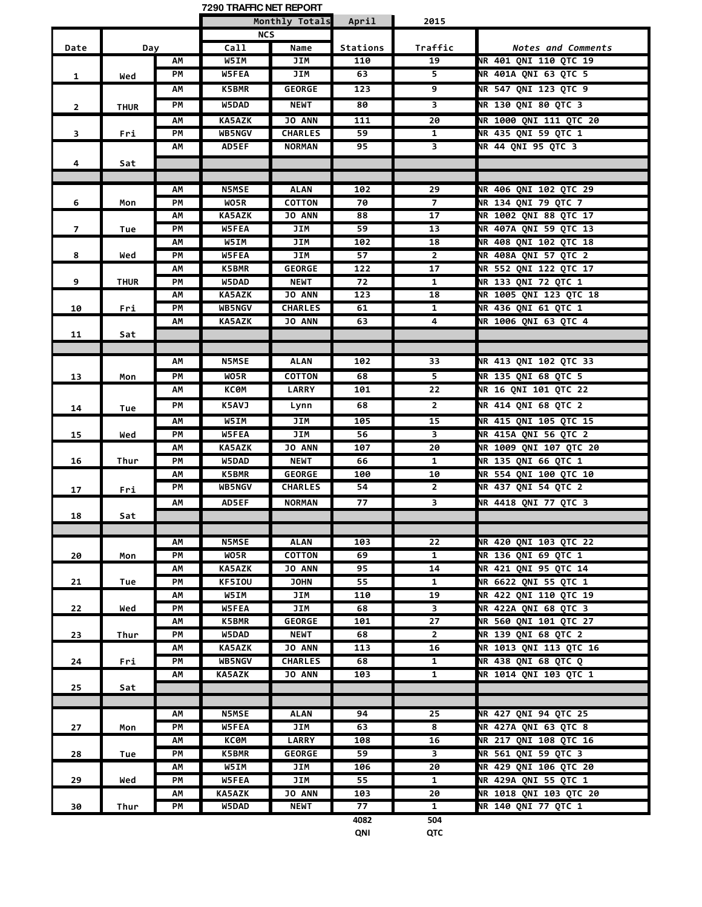|                |             |          | 7290 TRAFFIC NET REPORT       |                              |           |                    |                                                |
|----------------|-------------|----------|-------------------------------|------------------------------|-----------|--------------------|------------------------------------------------|
|                |             |          |                               | Monthly Totals               | April     | 2015               |                                                |
|                |             |          | <b>NCS</b>                    |                              |           |                    |                                                |
| Date           | Day         |          | Call                          | Name                         | Stations  | Traffic            | Notes and Comments                             |
|                |             | АΜ       | W5IM                          | JIM                          | 110       | 19                 | <b>NR 401 QNI 110 QTC 19</b>                   |
| $\mathbf{1}$   | Wed         | PМ       | <b>W5FEA</b>                  | JIM                          | 63        | 5                  | NR 401A QNI 63 QTC 5                           |
|                |             | AΜ       | <b>K5BMR</b>                  | <b>GEORGE</b>                | 123       | 9                  | NR 547 QNI 123 QTC 9                           |
| $\overline{2}$ | <b>THUR</b> | PМ       | W5DAD                         | <b>NEWT</b>                  | 80        | 3                  | NR 130 QNI 80 QTC 3                            |
|                |             | АM       | <b>KA5AZK</b>                 | <b>JO ANN</b>                | 111       | 20                 | <b>NR 1000 QNI 111 QTC 20</b>                  |
| 3              | Fri         | PМ       | <b>WB5NGV</b>                 | <b>CHARLES</b>               | 59        | $\mathbf{1}$       | NR 435 QNI 59 QTC 1                            |
|                |             | АΜ       | <b>AD5EF</b>                  | <b>NORMAN</b>                | 95        | 3                  | NR 44 QNI 95 QTC 3                             |
| 4              | Sat         |          |                               |                              |           |                    |                                                |
|                |             |          |                               |                              |           |                    |                                                |
|                |             | АΜ       | <b>N5MSE</b>                  | <b>ALAN</b>                  | 102       | 29                 | NR 406 QNI 102 QTC 29                          |
| 6              | Mon         | PМ       | WO5R                          | <b>COTTON</b>                | 70        | $\overline{7}$     | NR 134 QNI 79 QTC 7                            |
|                |             | АΜ       | <b>KA5AZK</b>                 | <b>JO ANN</b>                | 88        | 17                 | NR 1002 QNI 88 QTC 17                          |
| $\overline{7}$ | Tue         | PМ       | <b>W5FEA</b>                  | JIM                          | 59        | 13                 | NR 407A QNI 59 QTC 13                          |
|                |             | АΜ       | W5IM                          | JIM                          | 102       | 18                 | NR 408 QNI 102 QTC 18                          |
| 8              | Wed         | PM       | <b>W5FEA</b>                  | JIM                          | 57        | $\mathbf{2}$       | NR 408A QNI 57 QTC 2                           |
| 9              |             | АΜ<br>PМ | <b>K5BMR</b><br>W5DAD         | <b>GEORGE</b><br><b>NEWT</b> | 122<br>72 | 17<br>$\mathbf{1}$ | NR 552 QNI 122 QTC 17<br>NR 133 QNI 72 QTC 1   |
|                | <b>THUR</b> | АΜ       | <b>KA5AZK</b>                 | <b>JO ANN</b>                | 123       | 18                 | NR 1005 QNI 123 QTC 18                         |
| 10             | Fri         | PМ       | <b>WB5NGV</b>                 | <b>CHARLES</b>               | 61        | 1                  | NR 436 QNI 61 QTC 1                            |
|                |             | АΜ       | <b>KA5AZK</b>                 | <b>JO ANN</b>                | 63        | 4                  | <b>NR 1006 QNI 63 QTC 4</b>                    |
| 11             | Sat         |          |                               |                              |           |                    |                                                |
|                |             |          |                               |                              |           |                    |                                                |
|                |             | АΜ       | <b>N5MSE</b>                  | <b>ALAN</b>                  | 102       | 33                 | NR 413 QNI 102 QTC 33                          |
| 13             | Mon         | PМ       | WO5R                          | <b>COTTON</b>                | 68        | 5                  | NR 135 QNI 68 QTC 5                            |
|                |             | АΜ       | КСӨМ                          | <b>LARRY</b>                 | 101       | 22                 | <b>NR 16 QNI 101 QTC 22</b>                    |
|                |             | PM       | K5AVJ                         | Lynn                         | 68        | $\overline{2}$     | <b>NR 414 QNI 68 QTC 2</b>                     |
| 14             | Tue         |          |                               |                              |           |                    |                                                |
|                |             | АΜ       | W5IM                          | JIM                          | 105       | 15                 | NR 415 QNI 105 QTC 15                          |
| 15             | Wed         | PМ       | <b>W5FEA</b>                  | JIM                          | 56        | 3                  | NR 415A QNI 56 QTC 2                           |
| 16             | Thur        | АΜ<br>PМ | <b>KA5AZK</b><br>W5DAD        | <b>JO ANN</b><br><b>NEWT</b> | 107<br>66 | 20<br>1            | NR 1009 QNI 107 QTC 20<br>NR 135 QNI 66 QTC 1  |
|                |             | АΜ       | <b>K5BMR</b>                  | <b>GEORGE</b>                | 100       | 10                 | NR 554 QNI 100 QTC 10                          |
|                |             | PМ       | <b>WB5NGV</b>                 | <b>CHARLES</b>               | 54        | $\overline{2}$     | NR 437 QNI 54 QTC 2                            |
| 17             | Fri         | АΜ       | <b>AD5EF</b>                  | <b>NORMAN</b>                | 77        | 3                  | NR 4418 QNI 77 QTC 3                           |
| 18             | Sat         |          |                               |                              |           |                    |                                                |
|                |             |          |                               |                              |           |                    |                                                |
|                |             | ΑМ       | <b>N5MSE</b>                  | <b>ALAN</b>                  | 103       | 22                 | NR 420 ONI 103 OTC 22                          |
| 20             | Mon         | PМ       | WO5R                          | <b>COTTON</b>                | 69        | $\mathbf{1}$       | NR 136 QNI 69 QTC 1                            |
|                |             | АΜ       | <b>KA5AZK</b>                 | <b>JO ANN</b>                | 95        | 14                 | NR 421 QNI 95 QTC 14                           |
| 21             | Tue         | PМ       | <b>KF5IOU</b>                 | <b>JOHN</b>                  | 55        | $\mathbf{1}$       | NR 6622 QNI 55 QTC 1                           |
|                |             | АΜ       | W5IM                          | JIM                          | 110       | 19                 | NR 422 QNI 110 QTC 19                          |
| 22             | Wed         | PM       | <b>W5FEA</b>                  | JIM                          | 68        | 3                  | NR 422A ONI 68 OTC 3                           |
|                |             | АΜ       | <b>K5BMR</b>                  | <b>GEORGE</b>                | 101       | 27                 | NR 560 QNI 101 QTC 27                          |
| 23             | Thur        | PМ       | <b>W5DAD</b>                  | <b>NEWT</b>                  | 68        | $\mathbf{2}$       | NR 139 QNI 68 QTC 2                            |
|                |             | АΜ       | <b>KA5AZK</b>                 | <b>JO ANN</b>                | 113       | 16                 | NR 1013 QNI 113 QTC 16                         |
| 24             | Fri         | PМ       | <b>WB5NGV</b>                 | <b>CHARLES</b>               | 68        | 1                  | NR 438 QNI 68 QTC Q                            |
|                |             | АΜ       | <b>KA5AZK</b>                 | <b>JO ANN</b>                | 103       | 1                  | NR 1014 ONI 103 OTC 1                          |
| 25             | Sat         |          |                               |                              |           |                    |                                                |
|                |             |          |                               |                              |           |                    |                                                |
|                |             | АΜ       | <b>N5MSE</b>                  | <b>ALAN</b>                  | 94        | 25                 | NR 427 QNI 94 QTC 25                           |
| 27             | Mon         | PМ       | <b>W5FEA</b>                  | JIM                          | 63        | 8                  | NR 427A QNI 63 QTC 8                           |
|                |             | АΜ       | КСӨМ                          | <b>LARRY</b>                 | 108       | 16                 | NR 217 QNI 108 QTC 16                          |
| 28             | Tue         | PМ       | <b>K5BMR</b>                  | <b>GEORGE</b>                | 59        | 3                  | NR 561 QNI 59 QTC 3                            |
|                |             | AΜ       | W5IM                          | JIM                          | 106       | 20                 | NR 429 QNI 106 QTC 20                          |
| 29             | Wed         | PМ<br>ΑМ | <b>W5FEA</b><br><b>KA5AZK</b> | JIM<br><b>JO ANN</b>         | 55<br>103 | 1<br>20            | NR 429A QNI 55 QTC 1<br>NR 1018 QNI 103 QTC 20 |
| 30             | Thur        | PМ       | W5DAD                         | <b>NEWT</b>                  | 77        | $\mathbf{1}$       | <b>NR 140 QNI 77 QTC 1</b>                     |
|                |             |          |                               |                              | 4082      | 504                |                                                |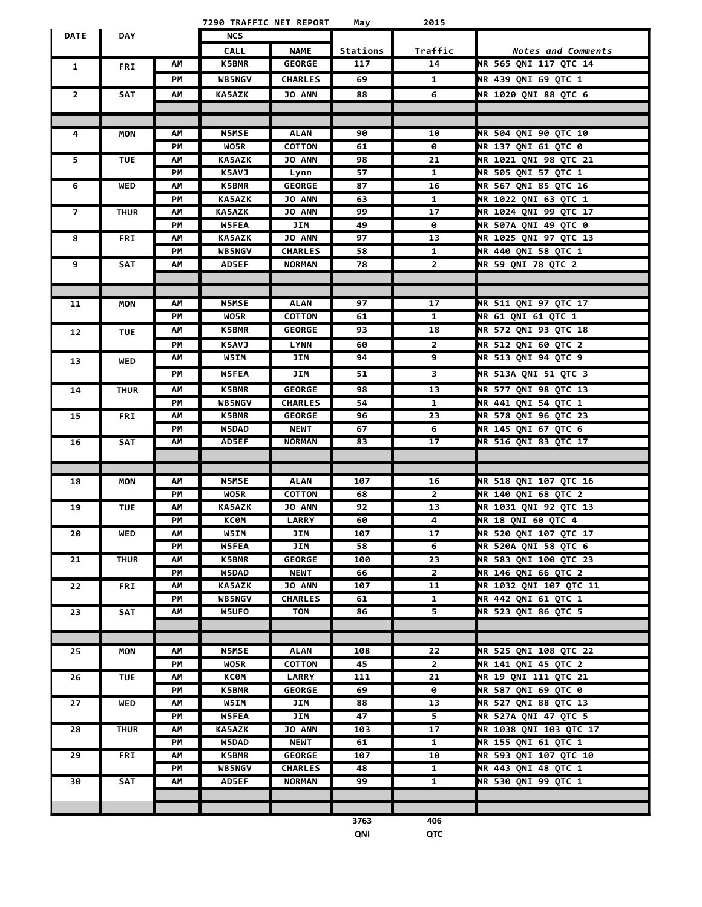|                |             |          | 7290 TRAFFIC NET REPORT       |                                 | May       | 2015                         |                                                    |
|----------------|-------------|----------|-------------------------------|---------------------------------|-----------|------------------------------|----------------------------------------------------|
| <b>DATE</b>    | <b>DAY</b>  |          | <b>NCS</b>                    |                                 |           |                              |                                                    |
|                |             |          | <b>CALL</b>                   | <b>NAME</b>                     | Stations  | Traffic                      | <b>Notes and Comments</b>                          |
| 1              | <b>FRI</b>  | АΜ       | <b>K5BMR</b>                  | <b>GEORGE</b>                   | 117       | 14                           | NR 565 QNI 117 QTC 14                              |
|                |             | PM       | <b>WB5NGV</b>                 | <b>CHARLES</b>                  | 69        | $\mathbf{1}$                 | NR 439 QNI 69 QTC 1                                |
| $\overline{2}$ | SAT         | АM       | <b>KA5AZK</b>                 | <b>JO ANN</b>                   | 88        | 6                            | <b>NR 1020 QNI 88 QTC 6</b>                        |
|                |             |          |                               |                                 |           |                              |                                                    |
|                |             |          |                               |                                 |           |                              |                                                    |
| 4              | MON         | АΜ       | <b>N5MSE</b>                  | <b>ALAN</b>                     | 90        | 10                           | NR 504 QNI 90 QTC 10                               |
|                |             | PM       | WO5R                          | <b>COTTON</b>                   | 61        | 0                            | <b>NR 137 QNI 61 QTC 0</b>                         |
| 5              | <b>TUE</b>  | ΑМ       | <b>KA5AZK</b>                 | <b>JO ANN</b>                   | 98        | 21                           | NR 1021 QNI 98 QTC 21                              |
|                |             | PМ       | K5AVJ                         | Lynn                            | 57        | 1                            | NR 505 QNI 57 QTC 1                                |
| 6              | <b>WED</b>  | ΑМ       | <b>K5BMR</b>                  | <b>GEORGE</b>                   | 87        | 16                           | NR 567 QNI 85 QTC 16                               |
|                |             | PМ       | <b>KA5AZK</b>                 | <b>JO ANN</b>                   | 63        | $\mathbf{1}$                 | NR 1022 QNI 63 QTC 1                               |
| $\overline{7}$ | <b>THUR</b> | AΜ       | <b>KA5AZK</b>                 | <b>JO ANN</b>                   | 99        | 17                           | NR 1024 QNI 99 QTC 17                              |
|                |             | PМ       | <b>W5FEA</b>                  | JIM                             | 49        | 0                            | NR 507A QNI 49 QTC 0                               |
| 8              | <b>FRI</b>  | AΜ<br>PМ | <b>KA5AZK</b><br>WB5NGV       | JO ANN<br><b>CHARLES</b>        | 97        | 13                           | NR 1025 QNI 97 QTC 13                              |
| 9              | SAT         | АΜ       | <b>AD5EF</b>                  | <b>NORMAN</b>                   | 58<br>78  | $\mathbf{1}$<br>$\mathbf{2}$ | <b>NR 440 QNI 58 QTC 1</b><br>NR 59 QNI 78 QTC 2   |
|                |             |          |                               |                                 |           |                              |                                                    |
|                |             |          |                               |                                 |           |                              |                                                    |
| 11             | MON         | АΜ       | <b>N5MSE</b>                  | <b>ALAN</b>                     | 97        | 17                           | NR 511 ONI 97 OTC 17                               |
|                |             | PM       | WO5R                          | <b>COTTON</b>                   | 61        | $\mathbf{1}$                 | NR 61 QNI 61 QTC 1                                 |
| 12             | <b>TUE</b>  | АΜ       | <b>K5BMR</b>                  | <b>GEORGE</b>                   | 93        | 18                           | NR 572 QNI 93 QTC 18                               |
|                |             | PM       | K5AVJ                         | <b>LYNN</b>                     | 60        | $\mathbf{2}$                 | NR 512 QNI 60 QTC 2                                |
|                |             | ΑМ       | <b>W5IM</b>                   | JIM                             | 94        | 9                            | NR 513 QNI 94 QTC 9                                |
| 13             | <b>WED</b>  | PM       | W5FEA                         | JIM                             | 51        | 3                            | NR 513A QNI 51 QTC 3                               |
|                |             |          |                               |                                 |           |                              |                                                    |
| 14             | <b>THUR</b> | АΜ       | <b>K5BMR</b>                  | <b>GEORGE</b>                   | 98        | 13                           | NR 577 QNI 98 QTC 13                               |
|                |             | PМ<br>ΑМ | <b>WB5NGV</b><br><b>K5BMR</b> | <b>CHARLES</b><br><b>GEORGE</b> | 54<br>96  | $\mathbf{1}$<br>23           | <b>NR 441 QNI 54 QTC 1</b><br>NR 578 QNI 96 QTC 23 |
| 15             | <b>FRI</b>  | PМ       | W5DAD                         | <b>NEWT</b>                     | 67        | 6                            | NR 145 QNI 67 QTC 6                                |
| 16             | SAT         | АΜ       | AD5EF                         | <b>NORMAN</b>                   | 83        | 17                           | NR 516 QNI 83 QTC 17                               |
|                |             |          |                               |                                 |           |                              |                                                    |
|                |             |          |                               |                                 |           |                              |                                                    |
| 18             | MON         | ΑМ       | <b>N5MSE</b>                  | <b>ALAN</b>                     | 107       | 16                           | NR 518 QNI 107 QTC 16                              |
|                |             | PМ       | WO5R                          | <b>COTTON</b>                   | 68        | $\mathbf{2}$                 | <b>NR 140 QNI 68 QTC 2</b>                         |
| 19             | <b>TUE</b>  | ΑМ       | <b>KA5AZK</b>                 | <b>JO ANN</b>                   | 92        | 13                           | NR 1031 QNI 92 QTC 13                              |
|                |             | PМ       | КСӨМ                          | <b>LARRY</b>                    | 60        | 4                            | <b>NR 18 QNI 60 QTC 4</b>                          |
| 20             | WED         | АΜ       | W5IM                          | JIM                             | 107       | 17                           | NR 520 QNI 107 QTC 17                              |
|                |             | PМ       | W5FEA                         | JIM                             | 58        | 6                            | <b>NR 520A ONI 58 OTC 6</b>                        |
| 21             | <b>THUR</b> | АΜ       | K5BMR                         | <b>GEORGE</b>                   | 100       | 23                           | NR 583 QNI 100 QTC 23                              |
|                |             | PМ       | <b>W5DAD</b>                  | <b>NEWT</b>                     | 66        | $\mathbf{2}$                 | <b>NR 146 QNI 66 QTC 2</b>                         |
| 22             | <b>FRI</b>  | АΜ       | <b>KA5AZK</b>                 | <b>JO ANN</b>                   | 107       | 11                           | NR 1032 QNI 107 QTC 11                             |
|                |             | PM       | WB5NGV                        | <b>CHARLES</b>                  | 61        | $\mathbf{1}$                 | <b>NR 442 QNI 61 QTC 1</b>                         |
| 23             | SAT         | AΜ       | W5UFO                         | TOM                             | 86        | $\overline{\mathbf{5}}$      | NR 523 QNI 86 QTC 5                                |
|                |             |          |                               |                                 |           |                              |                                                    |
|                |             |          |                               |                                 |           |                              |                                                    |
| 25             | MON         | AΜ<br>PM | <b>N5MSE</b>                  | <b>ALAN</b><br><b>COTTON</b>    | 108       | 22                           | NR 525 QNI 108 QTC 22                              |
| 26             | <b>TUE</b>  | АΜ       | WO5R<br>КСӨМ                  | <b>LARRY</b>                    | 45<br>111 | $\mathbf{2}$<br>21           | NR 141 QNI 45 QTC 2<br>NR 19 QNI 111 QTC 21        |
|                |             | PМ       | K5BMR                         | <b>GEORGE</b>                   | 69        | 0                            | NR 587 QNI 69 QTC 0                                |
| 27             | WED         | АΜ       | W5IM                          | JIM                             | 88        | 13                           | NR 527 QNI 88 QTC 13                               |
|                |             | PМ       | <b>W5FEA</b>                  | JIM                             | 47        | 5                            | NR 527A QNI 47 QTC 5                               |
| 28             | <b>THUR</b> | АM       | KA5AZK                        | <b>JO ANN</b>                   | 103       | 17                           | NR 1038 QNI 103 QTC 17                             |
|                |             | PM       | W5DAD                         | <b>NEWT</b>                     | 61        | $\mathbf{1}$                 | NR 155 QNI 61 QTC 1                                |
| 29             | FRI         | ΑМ       | <b>K5BMR</b>                  | <b>GEORGE</b>                   | 107       | 10                           | NR 593 QNI 107 QTC 10                              |
|                |             | PМ       | <b>WB5NGV</b>                 | <b>CHARLES</b>                  | 48        | $\mathbf{1}$                 | <b>NR 443 QNI 48 QTC 1</b>                         |
| 30             | SAT         | АM       | <b>AD5EF</b>                  | <b>NORMAN</b>                   | 99        | $\mathbf{1}$                 | NR 530 QNI 99 QTC 1                                |
|                |             |          |                               |                                 |           |                              |                                                    |
|                |             |          |                               |                                 |           |                              |                                                    |
|                |             |          |                               |                                 | 3763      | 406                          |                                                    |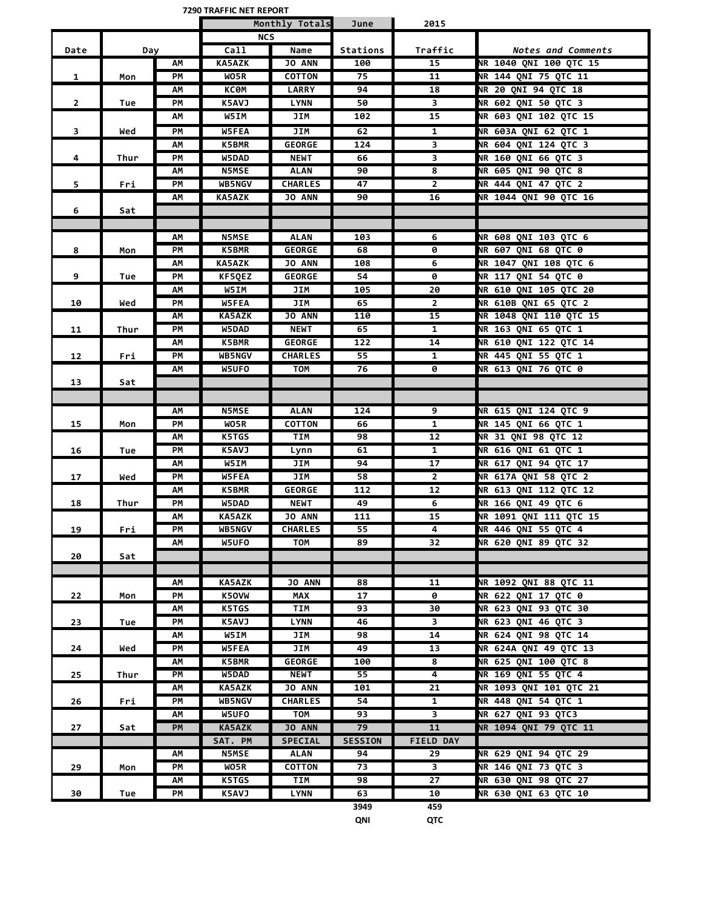**7290 TRAFFIC NET REPORT**

|                |      |    | <b>IZYU IRAFFIL NEI REPURI</b> |                |                |                         |                                                |
|----------------|------|----|--------------------------------|----------------|----------------|-------------------------|------------------------------------------------|
|                |      |    |                                | Monthly Totals | June           | 2015                    |                                                |
|                |      |    | <b>NCS</b><br>Call             |                |                |                         |                                                |
| Date           | Day  |    |                                | Name           | Stations       | Traffic                 | <b>Notes and Comments</b>                      |
|                |      | АΜ | <b>KA5AZK</b>                  | <b>JO ANN</b>  | 100            | 15                      | NR 1040 QNI 100 QTC 15<br>NR 144 ONI 75 OTC 11 |
| 1              | Mon  | PМ | WO5R                           | <b>COTTON</b>  | 75             | 11                      |                                                |
|                |      | AM | КСӨМ                           | <b>LARRY</b>   | 94             | 18                      | NR 20 QNI 94 QTC 18                            |
| $\overline{2}$ | Tue  | PM | K5AVJ                          | <b>LYNN</b>    | 50             | $\overline{\mathbf{3}}$ | NR 602 QNI 50 QTC 3                            |
|                |      | АΜ | W5IM                           | JIM            | 102            | 15                      | NR 603 QNI 102 QTC 15                          |
| 3              | Wed  | PМ | W5FEA                          | JIM            | 62             | $\mathbf{1}$            | NR 603A QNI 62 QTC 1                           |
|                |      | АM | <b>K5BMR</b>                   | <b>GEORGE</b>  | 124            | 3                       | NR 604 QNI 124 QTC 3                           |
| 4              | Thur | PM | W5DAD                          | <b>NEWT</b>    | 66             | 3                       | <b>NR 160 QNI 66 QTC 3</b>                     |
|                |      | АΜ | <b>N5MSE</b>                   | ALAN           | 90             | 8                       | NR 605 QNI 90 QTC 8                            |
| 5              | Fri  | PМ | <b>WB5NGV</b>                  | <b>CHARLES</b> | 47             | $\mathbf{2}$            | NR 444 QNI 47 QTC 2                            |
|                |      | АΜ | KA5AZK                         | <b>JO ANN</b>  | 90             | 16                      | <b>NR 1044 QNI 90 QTC 16</b>                   |
| 6              | Sat  |    |                                |                |                |                         |                                                |
|                |      |    |                                |                |                |                         |                                                |
|                |      | AΜ | <b>N5MSE</b>                   | <b>ALAN</b>    | 103            | 6                       | <b>NR 608 QNI 103 QTC 6</b>                    |
| 8              | Mon  | PM | <b>K5BMR</b>                   | <b>GEORGE</b>  | 68             | 0                       | <b>NR 607 QNI 68 QTC 0</b>                     |
|                |      | АΜ | <b>KA5AZK</b>                  | <b>JO ANN</b>  | 108            | 6                       | <b>NR 1047 ONI 108 OTC 6</b>                   |
| 9              | Tue  | PМ | KF5QEZ                         | <b>GEORGE</b>  | 54             | 0                       | <b>NR 117 QNI 54 QTC 0</b>                     |
|                |      | АΜ | W5IM                           | JIM            | 105            | 20                      | <b>NR 610 QNI 105 QTC 20</b>                   |
| 10             | Wed  | PМ | <b>W5FEA</b>                   | JIM            | 65             | $\mathbf{2}$            | NR 610B QNI 65 QTC 2                           |
|                |      | AM | <b>KA5AZK</b>                  | <b>JO ANN</b>  | 110            | $\overline{15}$         | NR 1048 QNI 110 QTC 15                         |
| 11             | Thur | PМ | W5DAD                          | <b>NEWT</b>    | 65             | $\mathbf{1}$            | NR 163 QNI 65 QTC 1                            |
|                |      | АΜ | <b>K5BMR</b>                   | <b>GEORGE</b>  | 122            | 14                      | <b>NR 610 QNI 122 QTC 14</b>                   |
| 12             | Fri  | PМ | <b>WB5NGV</b>                  | <b>CHARLES</b> | 55             | 1                       | NR 445 QNI 55 QTC 1                            |
|                |      | АΜ | W5UFO                          | <b>TOM</b>     | 76             | 0                       | NR 613 QNI 76 QTC 0                            |
| 13             | Sat  |    |                                |                |                |                         |                                                |
|                |      |    |                                |                |                |                         |                                                |
|                |      | АΜ | <b>N5MSE</b>                   | <b>ALAN</b>    | 124            | 9                       | <b>NR 615 QNI 124 QTC 9</b>                    |
| 15             | Mon  | PМ | WO5R                           | <b>COTTON</b>  | 66             | 1                       | NR 145 QNI 66 QTC 1                            |
|                |      | АΜ | K5TGS                          | TIM            | 98             | 12                      | <b>NR 31 ONI 98 OTC 12</b>                     |
|                |      | PМ | K5AVJ                          |                | 61             | 1                       | <b>NR 616 QNI 61 QTC 1</b>                     |
| 16             | Tue  | АΜ | W5IM                           | Lynn<br>JIM    | 94             | 17                      | NR 617 QNI 94 QTC 17                           |
|                |      |    |                                | JIM            | 58             | $\overline{2}$          | <b>NR 617A ONI 58 OTC 2</b>                    |
| 17             | Wed  | PМ | <b>W5FEA</b>                   |                |                |                         |                                                |
|                |      | АΜ | <b>K5BMR</b>                   | <b>GEORGE</b>  | 112            | 12                      | NR 613 QNI 112 QTC 12                          |
| 18             | Thur | PМ | W5DAD                          | <b>NEWT</b>    | 49             | 6                       | NR 166 QNI 49 QTC 6                            |
|                |      | АΜ | <b>KA5AZK</b>                  | <b>JO ANN</b>  | 111            | 15                      | NR 1091 QNI 111 QTC 15                         |
| 19             | Fri  | PМ | <b>WB5NGV</b>                  | <b>CHARLES</b> | 55             | 4                       | NR 446 QNI 55 QTC 4                            |
|                |      | АΜ | W5UFO                          | TOM            | 89             | 32                      | NR 620 QNI 89 QTC 32                           |
| 20             | Sat  |    |                                |                |                |                         |                                                |
|                |      |    |                                |                |                |                         |                                                |
|                |      | АΜ | <b>KA5AZK</b>                  | <b>JO ANN</b>  | 88             | 11                      | <b>NR 1092 QNI 88 QTC 11</b>                   |
| 22             | Mon  | PМ | K50VW                          | MAX            | 17             | 0                       | <b>NR 622 QNI 17 QTC 0</b>                     |
|                |      | АΜ | K5TGS                          | TIM            | 93             | 30                      | NR 623 QNI 93 QTC 30                           |
| 23             | Tue  | PM | K5AVJ                          | <b>LYNN</b>    | 46             | 3                       | NR 623 QNI 46 QTC 3                            |
|                |      | АΜ | W5IM                           | JIM            | 98             | 14                      | <b>NR 624 QNI 98 QTC 14</b>                    |
| 24             | Wed  | PМ | <b>W5FEA</b>                   | JIM            | 49             | 13                      | NR 624A QNI 49 QTC 13                          |
|                |      | АΜ | <b>K5BMR</b>                   | <b>GEORGE</b>  | 100            | 8                       | NR 625 QNI 100 QTC 8                           |
| 25             | Thur | PM | W5DAD                          | <b>NEWT</b>    | 55             | 4                       | NR 169 QNI 55 QTC 4                            |
|                |      | АΜ | KA5AZK                         | <b>JO ANN</b>  | 101            | 21                      | NR 1093 QNI 101 QTC 21                         |
| 26             | Fri  | PМ | WB5NGV                         | <b>CHARLES</b> | 54             | $\mathbf{1}$            | NR 448 QNI 54 QTC 1                            |
|                |      | АM | W5UFO                          | TOM            | 93             | $\overline{\mathbf{3}}$ | NR 627 QNI 93 QTC3                             |
| 27             | Sat  | PM | <b>KA5AZK</b>                  | JO ANN         | 79             | 11                      | <b>NR 1094 QNI 79 QTC 11</b>                   |
|                |      |    | SAT. PM                        | <b>SPECIAL</b> | <b>SESSION</b> | <b>FIELD DAY</b>        |                                                |
|                |      | АΜ | <b>N5MSE</b>                   | <b>ALAN</b>    | 94             | 29                      | NR 629 QNI 94 QTC 29                           |
| 29             | Mon  | PМ | WO5R                           | <b>COTTON</b>  | 73             | 3                       | NR 146 QNI 73 QTC 3                            |
|                |      | АМ | K5TGS                          | TIM            | 98             | 27                      | NR 630 QNI 98 QTC 27                           |
| 30             | Tue  | PМ | K5AVJ                          | <b>LYNN</b>    | 63             | 10                      | <b>NR 630 QNI 63 QTC 10</b>                    |
|                |      |    |                                |                | 3949           | 459                     |                                                |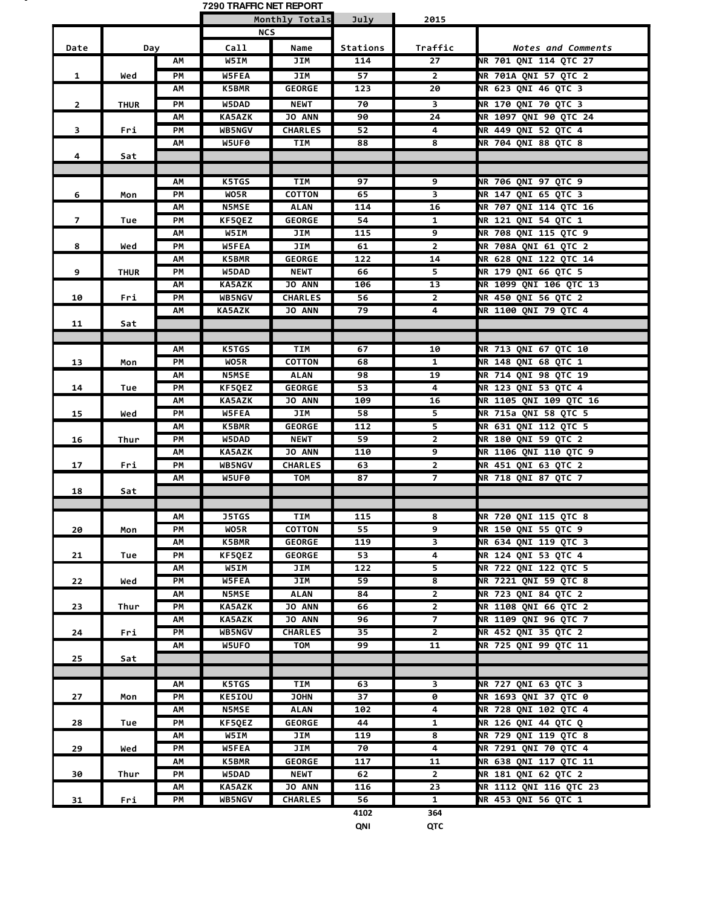|                |             |    | 7290 TRAFFIC NET REPORT |                |          |                         |                              |
|----------------|-------------|----|-------------------------|----------------|----------|-------------------------|------------------------------|
|                |             |    |                         | Monthly Totals | July     | 2015                    |                              |
|                |             |    | <b>NCS</b>              |                |          |                         |                              |
| Date           | Day         |    | Call                    | Name           | Stations | Traffic                 | Notes and Comments           |
|                |             | АΜ | W5IM                    | JIM            | 114      | 27                      | NR 701 QNI 114 QTC 27        |
| 1              | Wed         | PМ | <b>W5FEA</b>            | JIM            | 57       | $\overline{2}$          | NR 701A QNI 57 QTC 2         |
|                |             | ΑМ | <b>K5BMR</b>            | <b>GEORGE</b>  | 123      | 20                      | NR 623 QNI 46 QTC 3          |
| $\overline{2}$ |             | PM | W5DAD                   | <b>NEWT</b>    | 70       | 3                       | NR 170 QNI 70 QTC 3          |
|                | <b>THUR</b> | ΑМ | <b>KA5AZK</b>           | <b>JO ANN</b>  | 90       | 24                      | NR 1097 QNI 90 QTC 24        |
| 3              |             | PM | <b>WB5NGV</b>           | <b>CHARLES</b> | 52       | 4                       | NR 449 QNI 52 QTC 4          |
|                | Fri         | AΜ | W5UF0                   | TIM            | 88       | 8                       | NR 704 QNI 88 QTC 8          |
| 4              | Sat         |    |                         |                |          |                         |                              |
|                |             |    |                         |                |          |                         |                              |
|                |             | АM | <b>K5TGS</b>            | <b>TIM</b>     | 97       | 9                       | NR 706 QNI 97 QTC 9          |
| 6              | Mon         | PM | WO5R                    | <b>COTTON</b>  | 65       | 3                       | NR 147 QNI 65 QTC 3          |
|                |             | АΜ | <b>N5MSE</b>            | <b>ALAN</b>    | 114      | 16                      | NR 707 QNI 114 QTC 16        |
| $\overline{7}$ | Tue         | PМ | KF5QEZ                  | <b>GEORGE</b>  | 54       | 1                       | NR 121 QNI 54 QTC 1          |
|                |             | АM | <b>W5IM</b>             | JIM            | 115      | 9                       | NR 708 QNI 115 QTC 9         |
| 8              | Wed         | PМ | <b>W5FEA</b>            | JIM            | 61       | $\overline{2}$          | NR 708A ONI 61 OTC 2         |
|                |             | ΑМ | <b>K5BMR</b>            | <b>GEORGE</b>  | 122      | 14                      | NR 628 QNI 122 QTC 14        |
| 9              | <b>THUR</b> | PМ | W5DAD                   | <b>NEWT</b>    | 66       | 5                       | NR 179 QNI 66 QTC 5          |
|                |             | ΑМ | <b>KA5AZK</b>           | <b>JO ANN</b>  | 106      | 13                      | NR 1099 QNI 106 QTC 13       |
| 10             | Fri         | PM | <b>WB5NGV</b>           | <b>CHARLES</b> | 56       | 2                       | NR 450 QNI 56 QTC 2          |
|                |             | АΜ | <b>KA5AZK</b>           | <b>JO ANN</b>  | 79       | 4                       | NR 1100 QNI 79 QTC 4         |
| 11             | Sat         |    |                         |                |          |                         |                              |
|                |             |    |                         |                |          |                         |                              |
|                |             | ΑМ | <b>K5TGS</b>            | TIM            | 67       | 10                      | NR 713 QNI 67 QTC 10         |
| 13             | Mon         | PМ | WO5R                    | <b>COTTON</b>  | 68       | 1                       | <b>NR 148 QNI 68 QTC 1</b>   |
|                |             | АM | <b>N5MSE</b>            | <b>ALAN</b>    | 98       | 19                      | NR 714 QNI 98 QTC 19         |
| 14             | Tue         | PM | KF5QEZ                  | <b>GEORGE</b>  | 53       | 4                       | NR 123 QNI 53 QTC 4          |
|                |             | АΜ | <b>KA5AZK</b>           | <b>JO ANN</b>  | 109      | 16                      | NR 1105 QNI 109 QTC 16       |
| 15             | Wed         | PМ | W5FEA                   | JIM            | 58       | 5                       | NR 715a QNI 58 QTC 5         |
|                |             | ΑМ | <b>K5BMR</b>            | <b>GEORGE</b>  | 112      | 5                       | NR 631 QNI 112 QTC 5         |
| 16             | Thur        | PM | W5DAD                   | <b>NEWT</b>    | 59       | $\overline{\mathbf{2}}$ | NR 180 QNI 59 QTC 2          |
|                |             | ΑМ | <b>KA5AZK</b>           | <b>JO ANN</b>  | 110      | 9                       | <b>NR 1106 ONI 110 OTC 9</b> |
| 17             | Fri         | PМ | <b>WB5NGV</b>           | <b>CHARLES</b> | 63       | $\overline{2}$          | NR 451 QNI 63 QTC 2          |
|                |             | ΑМ | W5UF0                   | <b>TOM</b>     | 87       | 7                       | NR 718 QNI 87 QTC 7          |
| 18             | Sat         |    |                         |                |          |                         |                              |
|                |             |    |                         |                |          |                         |                              |
|                |             | АM | <b>J5TGS</b>            | TIM            | 115      | 8                       | NR 720 QNI 115 QTC 8         |
| 20             | Mon         | PМ | WO5R                    | <b>COTTON</b>  | 55       | 9                       | NR 150 QNI 55 QTC 9          |
|                |             | АΜ | <b>K5BMR</b>            | <b>GEORGE</b>  | 119      | 3                       | NR 634 QNI 119 QTC 3         |
| 21             | Tue         | PМ | KF5QEZ                  | <b>GEORGE</b>  | 53       | 4                       | NR 124 QNI 53 QTC 4          |
|                |             | ΑМ | W5IM                    | JIM            | 122      | 5                       | NR 722 QNI 122 QTC 5         |
| 22             | Wed         | PМ | <b>W5FEA</b>            | JIM            | 59       | 8                       | NR 7221 QNI 59 QTC 8         |
|                |             | АΜ | <b>N5MSE</b>            | <b>ALAN</b>    | 84       | $\overline{\mathbf{2}}$ | <b>NR 723 QNI 84 QTC 2</b>   |
| 23             | Thur        | РM | <b>KA5AZK</b>           | <b>JO ANN</b>  | 66       | $\overline{2}$          | NR 1108 QNI 66 QTC 2         |
|                |             | АΜ | <b>KA5AZK</b>           | <b>JO ANN</b>  | 96       | $\overline{7}$          | NR 1109 QNI 96 QTC 7         |
| 24             | Fri         | PМ | <b>WB5NGV</b>           | <b>CHARLES</b> | 35       | $\mathbf{2}$            | NR 452 QNI 35 QTC 2          |
|                |             | ΑМ | W5UFO                   | TOM            | 99       | $\overline{11}$         | NR 725 QNI 99 QTC 11         |
| 25             | Sat         |    |                         |                |          |                         |                              |
|                |             |    |                         |                |          |                         |                              |
|                |             | АΜ | K5TGS                   | TIM            | 63       | 3                       | NR 727 QNI 63 QTC 3          |
| 27             | Mon         | PM | KE5IOU                  | <b>JOHN</b>    | 37       | 0                       | NR 1693 QNI 37 QTC 0         |
|                |             | АΜ | <b>N5MSE</b>            | <b>ALAN</b>    | 102      | 4                       | NR 728 QNI 102 QTC 4         |
| 28             | Tue         | PМ | KF5QEZ                  | <b>GEORGE</b>  | 44       | 1                       | NR 126 QNI 44 QTC Q          |
|                |             | ΑМ | W5IM                    | JIM            | 119      | 8                       | NR 729 QNI 119 QTC 8         |
| 29             | Wed         | РM | W5FEA                   | JIM            | 70       | 4                       | NR 7291 QNI 70 QTC 4         |
|                |             | АΜ | <b>K5BMR</b>            | <b>GEORGE</b>  | 117      | 11                      | NR 638 QNI 117 QTC 11        |
| 30             | Thur        | PM | W5DAD                   | <b>NEWT</b>    | 62       | $\overline{2}$          | NR 181 QNI 62 QTC 2          |
|                |             | АΜ | <b>KA5AZK</b>           | JO ANN         | 116      | 23                      | NR 1112 QNI 116 QTC 23       |
| 31             | Fri         | РM | WB5NGV                  | <b>CHARLES</b> | 56       | $\mathbf{1}$            | NR 453 QNI 56 QTC 1          |
|                |             |    |                         |                | 4102     | 364                     |                              |

. .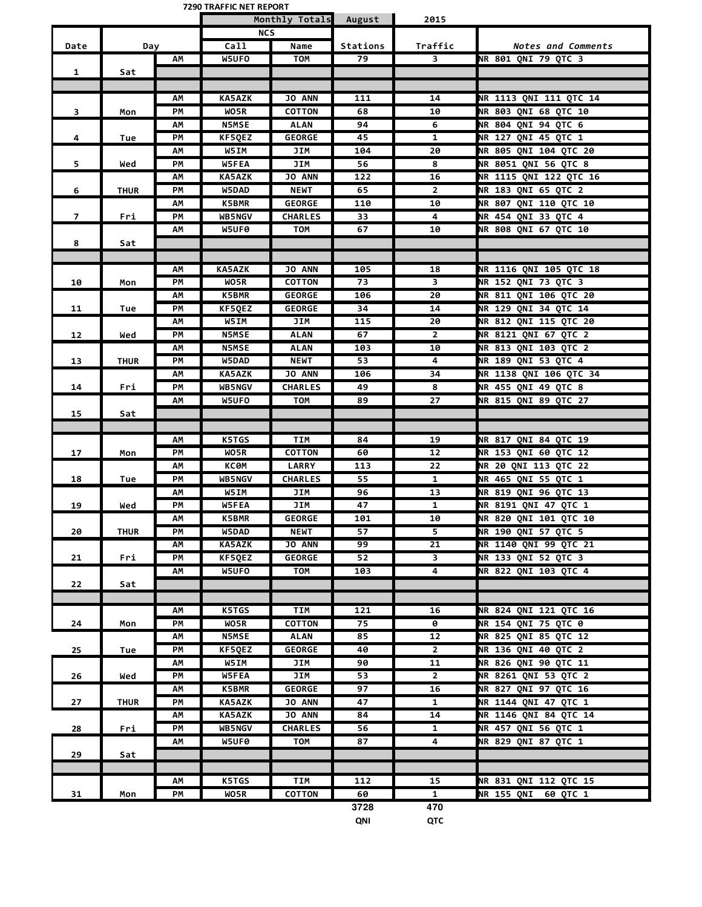| Monthly Totals<br>2015<br>August<br><b>NCS</b><br>Call<br>Name<br>Stations<br>Traffic<br>Date<br>Day<br>Notes and Comments<br><b>W5UFO</b><br>NR 801 QNI 79 QTC 3<br>АΜ<br>TOM<br>79<br>3<br>1<br>Sat<br>NR 1113 QNI 111 QTC 14<br>ΑМ<br><b>KA5AZK</b><br><b>JO ANN</b><br>111<br>14<br>WO5R<br>NR 803 QNI 68 QTC 10<br>PМ<br><b>COTTON</b><br>68<br>3<br>10<br>Mon<br>NR 804 QNI 94 QTC 6<br><b>N5MSE</b><br><b>ALAN</b><br>94<br>6<br>АΜ<br>KF5QEZ<br><b>GEORGE</b><br>NR 127 QNI 45 QTC 1<br>4<br>PМ<br>45<br>1<br>Tue<br>W5IM<br><b>NR 805 ONI 104 OTC 20</b><br>JIM<br>104<br>20<br>ΑМ<br>W5FEA<br>PМ<br>JIM<br>56<br>8<br><b>NR 8051 QNI 56 QTC 8</b><br>5<br>Wed<br>JO ANN<br>NR 1115 QNI 122 QTC 16<br><b>KA5AZK</b><br>122<br>16<br>АΜ<br>NR 183 QNI 65 QTC 2<br>PМ<br><b>W5DAD</b><br><b>NEWT</b><br>65<br>$\mathbf{2}$<br>6<br><b>THUR</b><br><b>GEORGE</b><br>110<br>10<br><b>NR 807 QNI 110 QTC 10</b><br>АΜ<br><b>K5BMR</b><br>$\overline{7}$<br><b>CHARLES</b><br>33<br>4<br>NR 454 QNI 33 QTC 4<br>PМ<br><b>WB5NGV</b><br>Fri<br><b>NR 808 QNI 67 QTC 10</b><br>W5UF0<br><b>TOM</b><br>67<br>10<br>AΜ<br>8<br>Sat<br>NR 1116 QNI 105 QTC 18<br>АM<br><b>KA5AZK</b><br><b>JO ANN</b><br>105<br>18<br>NR 152 ONI 73 OTC 3<br>WO5R<br><b>COTTON</b><br>73<br>3<br>10<br>PМ<br>Mon<br><b>K5BMR</b><br><b>GEORGE</b><br><b>NR 811 QNI 106 QTC 20</b><br>106<br>20<br>АΜ<br>KF5QEZ<br><b>GEORGE</b><br>34<br><b>NR 129 ONI 34 OTC 14</b><br>PМ<br>14<br>11<br>Tue<br>JIM<br><b>NR 812 QNI 115 QTC 20</b><br>ΑМ<br>W5IM<br>115<br>20<br>PM<br><b>N5MSE</b><br><b>NR 8121 QNI 67 QTC 2</b><br><b>ALAN</b><br>67<br>2<br>12<br>Wed<br>NR 813 QNI 103 QTC 2<br>ΑМ<br><b>N5MSE</b><br><b>ALAN</b><br>103<br>10<br>NR 189 QNI 53 QTC 4<br>PМ<br>W5DAD<br><b>NEWT</b><br>53<br>4<br><b>THUR</b><br>13<br>NR 1138 QNI 106 QTC 34<br><b>KA5AZK</b><br><b>JO ANN</b><br>106<br>34<br>ΑМ<br>PМ<br><b>WB5NGV</b><br><b>CHARLES</b><br>49<br>NR 455 QNI 49 QTC 8<br>14<br>8<br>Fri<br>NR 815 QNI 89 QTC 27<br>W5UFO<br><b>TOM</b><br>89<br>27<br>ΑМ<br>15<br>Sat<br><b>K5TGS</b><br><b>TIM</b><br>NR 817 QNI 84 QTC 19<br>84<br>19<br>AΜ<br><b>COTTON</b><br>NR 153 QNI 60 QTC 12<br>PМ<br>WO5R<br>12<br>17<br>60<br>Mon<br><b>LARRY</b><br><b>NR 20 QNI 113 QTC 22</b><br><b>KC0M</b><br>113<br>22<br>ΑМ<br>PM<br><b>WB5NGV</b><br><b>CHARLES</b><br>55<br>NR 465 QNI 55 QTC 1<br>18<br>1<br>Tue<br>W5IM<br>13<br>NR 819 QNI 96 QTC 13<br>АΜ<br>JIM<br>96<br>JIM<br>47<br>NR 8191 QNI 47 QTC 1<br>19<br>Wed<br>PМ<br><b>W5FEA</b><br>1<br>NR 820 QNI 101 QTC 10<br>AΜ<br>K5BMR<br>GEORGE<br>101<br>10<br>PM<br>5<br>NR 190 QNI 57 QTC 5<br>20<br><b>THUR</b><br>W5DAD<br><b>NEWT</b><br>57<br><b>JO ANN</b><br><b>NR 1140 QNI 99 QTC 21</b><br>ΑМ<br><b>KA5AZK</b><br>99<br>21<br>NR 133 QNI 52 QTC 3<br>PM<br><b>GEORGE</b><br>3<br>21<br>KF5QEZ<br>52<br>Fri<br><b>NR 822 QNI 103 QTC 4</b><br>4<br>АΜ<br><b>W5UFO</b><br>TOM<br>103<br>22<br>Sat<br><b>K5TGS</b><br>TIM<br>121<br><b>NR 824 QNI 121 QTC 16</b><br>ΑМ<br>16<br><b>NR 154 QNI 75 QTC 0</b><br>PM<br>WO5R<br><b>COTTON</b><br>75<br>24<br>0<br>Mon<br>NR 825 QNI 85 QTC 12<br>$\overline{1}2$<br>AΜ<br><b>N5MSE</b><br><b>ALAN</b><br>85<br><b>NR 136 QNI 40 QTC 2</b><br>PМ<br>KF5QEZ<br><b>GEORGE</b><br>25<br>40<br>2<br>Tue<br>NR 826 QNI 90 QTC 11<br>W5IM<br>JIM<br>90<br>11<br>АΜ<br>$\mathbf{2}$<br>NR 8261 QNI 53 QTC 2<br>РM<br><b>W5FEA</b><br>JIM<br>53<br>26<br>Wed<br>NR 827 QNI 97 QTC 16<br><b>K5BMR</b><br><b>GEORGE</b><br>97<br>16<br>АΜ<br>NR 1144 QNI 47 QTC 1<br>PM<br><b>KA5AZK</b><br>JO ANN<br>47<br>$\mathbf{1}$<br>27<br><b>THUR</b><br>NR 1146 QNI 84 QTC 14<br>JO ANN<br>14<br>AΜ<br><b>KA5AZK</b><br>84<br><b>CHARLES</b><br>NR 457 QNI 56 QTC 1<br>WB5NGV<br>$\mathbf{1}$<br>PМ<br>56<br>28<br>Fri<br><b>NR 829 QNI 87 QTC 1</b><br>W5UF0<br><b>TOM</b><br>4<br>ΑM<br>87<br>29<br>Sat<br>NR 831 QNI 112 QTC 15<br>AΜ<br>K5TGS<br>TIM<br>112<br>15<br><b>NR 155 QNI</b><br>PM<br><b>COTTON</b><br>60<br>1<br>60 QTC 1<br>31<br>WO5R<br>Mon<br>3728<br>470 |  | 7290 TRAFFIC NET REPORT |  |  |
|-------------------------------------------------------------------------------------------------------------------------------------------------------------------------------------------------------------------------------------------------------------------------------------------------------------------------------------------------------------------------------------------------------------------------------------------------------------------------------------------------------------------------------------------------------------------------------------------------------------------------------------------------------------------------------------------------------------------------------------------------------------------------------------------------------------------------------------------------------------------------------------------------------------------------------------------------------------------------------------------------------------------------------------------------------------------------------------------------------------------------------------------------------------------------------------------------------------------------------------------------------------------------------------------------------------------------------------------------------------------------------------------------------------------------------------------------------------------------------------------------------------------------------------------------------------------------------------------------------------------------------------------------------------------------------------------------------------------------------------------------------------------------------------------------------------------------------------------------------------------------------------------------------------------------------------------------------------------------------------------------------------------------------------------------------------------------------------------------------------------------------------------------------------------------------------------------------------------------------------------------------------------------------------------------------------------------------------------------------------------------------------------------------------------------------------------------------------------------------------------------------------------------------------------------------------------------------------------------------------------------------------------------------------------------------------------------------------------------------------------------------------------------------------------------------------------------------------------------------------------------------------------------------------------------------------------------------------------------------------------------------------------------------------------------------------------------------------------------------------------------------------------------------------------------------------------------------------------------------------------------------------------------------------------------------------------------------------------------------------------------------------------------------------------------------------------------------------------------------------------------------------------------------------------------------------------------------------------------------------------------------------------------------------------------------------------------------------------------------------------------------------------------------------------------------------------------------------------------------------------------------------------------------------------------------------------------------------------------------------------------------------------------------------------------------|--|-------------------------|--|--|
|                                                                                                                                                                                                                                                                                                                                                                                                                                                                                                                                                                                                                                                                                                                                                                                                                                                                                                                                                                                                                                                                                                                                                                                                                                                                                                                                                                                                                                                                                                                                                                                                                                                                                                                                                                                                                                                                                                                                                                                                                                                                                                                                                                                                                                                                                                                                                                                                                                                                                                                                                                                                                                                                                                                                                                                                                                                                                                                                                                                                                                                                                                                                                                                                                                                                                                                                                                                                                                                                                                                                                                                                                                                                                                                                                                                                                                                                                                                                                                                                                                                       |  |                         |  |  |
|                                                                                                                                                                                                                                                                                                                                                                                                                                                                                                                                                                                                                                                                                                                                                                                                                                                                                                                                                                                                                                                                                                                                                                                                                                                                                                                                                                                                                                                                                                                                                                                                                                                                                                                                                                                                                                                                                                                                                                                                                                                                                                                                                                                                                                                                                                                                                                                                                                                                                                                                                                                                                                                                                                                                                                                                                                                                                                                                                                                                                                                                                                                                                                                                                                                                                                                                                                                                                                                                                                                                                                                                                                                                                                                                                                                                                                                                                                                                                                                                                                                       |  |                         |  |  |
|                                                                                                                                                                                                                                                                                                                                                                                                                                                                                                                                                                                                                                                                                                                                                                                                                                                                                                                                                                                                                                                                                                                                                                                                                                                                                                                                                                                                                                                                                                                                                                                                                                                                                                                                                                                                                                                                                                                                                                                                                                                                                                                                                                                                                                                                                                                                                                                                                                                                                                                                                                                                                                                                                                                                                                                                                                                                                                                                                                                                                                                                                                                                                                                                                                                                                                                                                                                                                                                                                                                                                                                                                                                                                                                                                                                                                                                                                                                                                                                                                                                       |  |                         |  |  |
|                                                                                                                                                                                                                                                                                                                                                                                                                                                                                                                                                                                                                                                                                                                                                                                                                                                                                                                                                                                                                                                                                                                                                                                                                                                                                                                                                                                                                                                                                                                                                                                                                                                                                                                                                                                                                                                                                                                                                                                                                                                                                                                                                                                                                                                                                                                                                                                                                                                                                                                                                                                                                                                                                                                                                                                                                                                                                                                                                                                                                                                                                                                                                                                                                                                                                                                                                                                                                                                                                                                                                                                                                                                                                                                                                                                                                                                                                                                                                                                                                                                       |  |                         |  |  |
|                                                                                                                                                                                                                                                                                                                                                                                                                                                                                                                                                                                                                                                                                                                                                                                                                                                                                                                                                                                                                                                                                                                                                                                                                                                                                                                                                                                                                                                                                                                                                                                                                                                                                                                                                                                                                                                                                                                                                                                                                                                                                                                                                                                                                                                                                                                                                                                                                                                                                                                                                                                                                                                                                                                                                                                                                                                                                                                                                                                                                                                                                                                                                                                                                                                                                                                                                                                                                                                                                                                                                                                                                                                                                                                                                                                                                                                                                                                                                                                                                                                       |  |                         |  |  |
|                                                                                                                                                                                                                                                                                                                                                                                                                                                                                                                                                                                                                                                                                                                                                                                                                                                                                                                                                                                                                                                                                                                                                                                                                                                                                                                                                                                                                                                                                                                                                                                                                                                                                                                                                                                                                                                                                                                                                                                                                                                                                                                                                                                                                                                                                                                                                                                                                                                                                                                                                                                                                                                                                                                                                                                                                                                                                                                                                                                                                                                                                                                                                                                                                                                                                                                                                                                                                                                                                                                                                                                                                                                                                                                                                                                                                                                                                                                                                                                                                                                       |  |                         |  |  |
|                                                                                                                                                                                                                                                                                                                                                                                                                                                                                                                                                                                                                                                                                                                                                                                                                                                                                                                                                                                                                                                                                                                                                                                                                                                                                                                                                                                                                                                                                                                                                                                                                                                                                                                                                                                                                                                                                                                                                                                                                                                                                                                                                                                                                                                                                                                                                                                                                                                                                                                                                                                                                                                                                                                                                                                                                                                                                                                                                                                                                                                                                                                                                                                                                                                                                                                                                                                                                                                                                                                                                                                                                                                                                                                                                                                                                                                                                                                                                                                                                                                       |  |                         |  |  |
|                                                                                                                                                                                                                                                                                                                                                                                                                                                                                                                                                                                                                                                                                                                                                                                                                                                                                                                                                                                                                                                                                                                                                                                                                                                                                                                                                                                                                                                                                                                                                                                                                                                                                                                                                                                                                                                                                                                                                                                                                                                                                                                                                                                                                                                                                                                                                                                                                                                                                                                                                                                                                                                                                                                                                                                                                                                                                                                                                                                                                                                                                                                                                                                                                                                                                                                                                                                                                                                                                                                                                                                                                                                                                                                                                                                                                                                                                                                                                                                                                                                       |  |                         |  |  |
|                                                                                                                                                                                                                                                                                                                                                                                                                                                                                                                                                                                                                                                                                                                                                                                                                                                                                                                                                                                                                                                                                                                                                                                                                                                                                                                                                                                                                                                                                                                                                                                                                                                                                                                                                                                                                                                                                                                                                                                                                                                                                                                                                                                                                                                                                                                                                                                                                                                                                                                                                                                                                                                                                                                                                                                                                                                                                                                                                                                                                                                                                                                                                                                                                                                                                                                                                                                                                                                                                                                                                                                                                                                                                                                                                                                                                                                                                                                                                                                                                                                       |  |                         |  |  |
|                                                                                                                                                                                                                                                                                                                                                                                                                                                                                                                                                                                                                                                                                                                                                                                                                                                                                                                                                                                                                                                                                                                                                                                                                                                                                                                                                                                                                                                                                                                                                                                                                                                                                                                                                                                                                                                                                                                                                                                                                                                                                                                                                                                                                                                                                                                                                                                                                                                                                                                                                                                                                                                                                                                                                                                                                                                                                                                                                                                                                                                                                                                                                                                                                                                                                                                                                                                                                                                                                                                                                                                                                                                                                                                                                                                                                                                                                                                                                                                                                                                       |  |                         |  |  |
|                                                                                                                                                                                                                                                                                                                                                                                                                                                                                                                                                                                                                                                                                                                                                                                                                                                                                                                                                                                                                                                                                                                                                                                                                                                                                                                                                                                                                                                                                                                                                                                                                                                                                                                                                                                                                                                                                                                                                                                                                                                                                                                                                                                                                                                                                                                                                                                                                                                                                                                                                                                                                                                                                                                                                                                                                                                                                                                                                                                                                                                                                                                                                                                                                                                                                                                                                                                                                                                                                                                                                                                                                                                                                                                                                                                                                                                                                                                                                                                                                                                       |  |                         |  |  |
|                                                                                                                                                                                                                                                                                                                                                                                                                                                                                                                                                                                                                                                                                                                                                                                                                                                                                                                                                                                                                                                                                                                                                                                                                                                                                                                                                                                                                                                                                                                                                                                                                                                                                                                                                                                                                                                                                                                                                                                                                                                                                                                                                                                                                                                                                                                                                                                                                                                                                                                                                                                                                                                                                                                                                                                                                                                                                                                                                                                                                                                                                                                                                                                                                                                                                                                                                                                                                                                                                                                                                                                                                                                                                                                                                                                                                                                                                                                                                                                                                                                       |  |                         |  |  |
|                                                                                                                                                                                                                                                                                                                                                                                                                                                                                                                                                                                                                                                                                                                                                                                                                                                                                                                                                                                                                                                                                                                                                                                                                                                                                                                                                                                                                                                                                                                                                                                                                                                                                                                                                                                                                                                                                                                                                                                                                                                                                                                                                                                                                                                                                                                                                                                                                                                                                                                                                                                                                                                                                                                                                                                                                                                                                                                                                                                                                                                                                                                                                                                                                                                                                                                                                                                                                                                                                                                                                                                                                                                                                                                                                                                                                                                                                                                                                                                                                                                       |  |                         |  |  |
|                                                                                                                                                                                                                                                                                                                                                                                                                                                                                                                                                                                                                                                                                                                                                                                                                                                                                                                                                                                                                                                                                                                                                                                                                                                                                                                                                                                                                                                                                                                                                                                                                                                                                                                                                                                                                                                                                                                                                                                                                                                                                                                                                                                                                                                                                                                                                                                                                                                                                                                                                                                                                                                                                                                                                                                                                                                                                                                                                                                                                                                                                                                                                                                                                                                                                                                                                                                                                                                                                                                                                                                                                                                                                                                                                                                                                                                                                                                                                                                                                                                       |  |                         |  |  |
|                                                                                                                                                                                                                                                                                                                                                                                                                                                                                                                                                                                                                                                                                                                                                                                                                                                                                                                                                                                                                                                                                                                                                                                                                                                                                                                                                                                                                                                                                                                                                                                                                                                                                                                                                                                                                                                                                                                                                                                                                                                                                                                                                                                                                                                                                                                                                                                                                                                                                                                                                                                                                                                                                                                                                                                                                                                                                                                                                                                                                                                                                                                                                                                                                                                                                                                                                                                                                                                                                                                                                                                                                                                                                                                                                                                                                                                                                                                                                                                                                                                       |  |                         |  |  |
|                                                                                                                                                                                                                                                                                                                                                                                                                                                                                                                                                                                                                                                                                                                                                                                                                                                                                                                                                                                                                                                                                                                                                                                                                                                                                                                                                                                                                                                                                                                                                                                                                                                                                                                                                                                                                                                                                                                                                                                                                                                                                                                                                                                                                                                                                                                                                                                                                                                                                                                                                                                                                                                                                                                                                                                                                                                                                                                                                                                                                                                                                                                                                                                                                                                                                                                                                                                                                                                                                                                                                                                                                                                                                                                                                                                                                                                                                                                                                                                                                                                       |  |                         |  |  |
|                                                                                                                                                                                                                                                                                                                                                                                                                                                                                                                                                                                                                                                                                                                                                                                                                                                                                                                                                                                                                                                                                                                                                                                                                                                                                                                                                                                                                                                                                                                                                                                                                                                                                                                                                                                                                                                                                                                                                                                                                                                                                                                                                                                                                                                                                                                                                                                                                                                                                                                                                                                                                                                                                                                                                                                                                                                                                                                                                                                                                                                                                                                                                                                                                                                                                                                                                                                                                                                                                                                                                                                                                                                                                                                                                                                                                                                                                                                                                                                                                                                       |  |                         |  |  |
|                                                                                                                                                                                                                                                                                                                                                                                                                                                                                                                                                                                                                                                                                                                                                                                                                                                                                                                                                                                                                                                                                                                                                                                                                                                                                                                                                                                                                                                                                                                                                                                                                                                                                                                                                                                                                                                                                                                                                                                                                                                                                                                                                                                                                                                                                                                                                                                                                                                                                                                                                                                                                                                                                                                                                                                                                                                                                                                                                                                                                                                                                                                                                                                                                                                                                                                                                                                                                                                                                                                                                                                                                                                                                                                                                                                                                                                                                                                                                                                                                                                       |  |                         |  |  |
|                                                                                                                                                                                                                                                                                                                                                                                                                                                                                                                                                                                                                                                                                                                                                                                                                                                                                                                                                                                                                                                                                                                                                                                                                                                                                                                                                                                                                                                                                                                                                                                                                                                                                                                                                                                                                                                                                                                                                                                                                                                                                                                                                                                                                                                                                                                                                                                                                                                                                                                                                                                                                                                                                                                                                                                                                                                                                                                                                                                                                                                                                                                                                                                                                                                                                                                                                                                                                                                                                                                                                                                                                                                                                                                                                                                                                                                                                                                                                                                                                                                       |  |                         |  |  |
|                                                                                                                                                                                                                                                                                                                                                                                                                                                                                                                                                                                                                                                                                                                                                                                                                                                                                                                                                                                                                                                                                                                                                                                                                                                                                                                                                                                                                                                                                                                                                                                                                                                                                                                                                                                                                                                                                                                                                                                                                                                                                                                                                                                                                                                                                                                                                                                                                                                                                                                                                                                                                                                                                                                                                                                                                                                                                                                                                                                                                                                                                                                                                                                                                                                                                                                                                                                                                                                                                                                                                                                                                                                                                                                                                                                                                                                                                                                                                                                                                                                       |  |                         |  |  |
|                                                                                                                                                                                                                                                                                                                                                                                                                                                                                                                                                                                                                                                                                                                                                                                                                                                                                                                                                                                                                                                                                                                                                                                                                                                                                                                                                                                                                                                                                                                                                                                                                                                                                                                                                                                                                                                                                                                                                                                                                                                                                                                                                                                                                                                                                                                                                                                                                                                                                                                                                                                                                                                                                                                                                                                                                                                                                                                                                                                                                                                                                                                                                                                                                                                                                                                                                                                                                                                                                                                                                                                                                                                                                                                                                                                                                                                                                                                                                                                                                                                       |  |                         |  |  |
|                                                                                                                                                                                                                                                                                                                                                                                                                                                                                                                                                                                                                                                                                                                                                                                                                                                                                                                                                                                                                                                                                                                                                                                                                                                                                                                                                                                                                                                                                                                                                                                                                                                                                                                                                                                                                                                                                                                                                                                                                                                                                                                                                                                                                                                                                                                                                                                                                                                                                                                                                                                                                                                                                                                                                                                                                                                                                                                                                                                                                                                                                                                                                                                                                                                                                                                                                                                                                                                                                                                                                                                                                                                                                                                                                                                                                                                                                                                                                                                                                                                       |  |                         |  |  |
|                                                                                                                                                                                                                                                                                                                                                                                                                                                                                                                                                                                                                                                                                                                                                                                                                                                                                                                                                                                                                                                                                                                                                                                                                                                                                                                                                                                                                                                                                                                                                                                                                                                                                                                                                                                                                                                                                                                                                                                                                                                                                                                                                                                                                                                                                                                                                                                                                                                                                                                                                                                                                                                                                                                                                                                                                                                                                                                                                                                                                                                                                                                                                                                                                                                                                                                                                                                                                                                                                                                                                                                                                                                                                                                                                                                                                                                                                                                                                                                                                                                       |  |                         |  |  |
|                                                                                                                                                                                                                                                                                                                                                                                                                                                                                                                                                                                                                                                                                                                                                                                                                                                                                                                                                                                                                                                                                                                                                                                                                                                                                                                                                                                                                                                                                                                                                                                                                                                                                                                                                                                                                                                                                                                                                                                                                                                                                                                                                                                                                                                                                                                                                                                                                                                                                                                                                                                                                                                                                                                                                                                                                                                                                                                                                                                                                                                                                                                                                                                                                                                                                                                                                                                                                                                                                                                                                                                                                                                                                                                                                                                                                                                                                                                                                                                                                                                       |  |                         |  |  |
|                                                                                                                                                                                                                                                                                                                                                                                                                                                                                                                                                                                                                                                                                                                                                                                                                                                                                                                                                                                                                                                                                                                                                                                                                                                                                                                                                                                                                                                                                                                                                                                                                                                                                                                                                                                                                                                                                                                                                                                                                                                                                                                                                                                                                                                                                                                                                                                                                                                                                                                                                                                                                                                                                                                                                                                                                                                                                                                                                                                                                                                                                                                                                                                                                                                                                                                                                                                                                                                                                                                                                                                                                                                                                                                                                                                                                                                                                                                                                                                                                                                       |  |                         |  |  |
|                                                                                                                                                                                                                                                                                                                                                                                                                                                                                                                                                                                                                                                                                                                                                                                                                                                                                                                                                                                                                                                                                                                                                                                                                                                                                                                                                                                                                                                                                                                                                                                                                                                                                                                                                                                                                                                                                                                                                                                                                                                                                                                                                                                                                                                                                                                                                                                                                                                                                                                                                                                                                                                                                                                                                                                                                                                                                                                                                                                                                                                                                                                                                                                                                                                                                                                                                                                                                                                                                                                                                                                                                                                                                                                                                                                                                                                                                                                                                                                                                                                       |  |                         |  |  |
|                                                                                                                                                                                                                                                                                                                                                                                                                                                                                                                                                                                                                                                                                                                                                                                                                                                                                                                                                                                                                                                                                                                                                                                                                                                                                                                                                                                                                                                                                                                                                                                                                                                                                                                                                                                                                                                                                                                                                                                                                                                                                                                                                                                                                                                                                                                                                                                                                                                                                                                                                                                                                                                                                                                                                                                                                                                                                                                                                                                                                                                                                                                                                                                                                                                                                                                                                                                                                                                                                                                                                                                                                                                                                                                                                                                                                                                                                                                                                                                                                                                       |  |                         |  |  |
|                                                                                                                                                                                                                                                                                                                                                                                                                                                                                                                                                                                                                                                                                                                                                                                                                                                                                                                                                                                                                                                                                                                                                                                                                                                                                                                                                                                                                                                                                                                                                                                                                                                                                                                                                                                                                                                                                                                                                                                                                                                                                                                                                                                                                                                                                                                                                                                                                                                                                                                                                                                                                                                                                                                                                                                                                                                                                                                                                                                                                                                                                                                                                                                                                                                                                                                                                                                                                                                                                                                                                                                                                                                                                                                                                                                                                                                                                                                                                                                                                                                       |  |                         |  |  |
|                                                                                                                                                                                                                                                                                                                                                                                                                                                                                                                                                                                                                                                                                                                                                                                                                                                                                                                                                                                                                                                                                                                                                                                                                                                                                                                                                                                                                                                                                                                                                                                                                                                                                                                                                                                                                                                                                                                                                                                                                                                                                                                                                                                                                                                                                                                                                                                                                                                                                                                                                                                                                                                                                                                                                                                                                                                                                                                                                                                                                                                                                                                                                                                                                                                                                                                                                                                                                                                                                                                                                                                                                                                                                                                                                                                                                                                                                                                                                                                                                                                       |  |                         |  |  |
|                                                                                                                                                                                                                                                                                                                                                                                                                                                                                                                                                                                                                                                                                                                                                                                                                                                                                                                                                                                                                                                                                                                                                                                                                                                                                                                                                                                                                                                                                                                                                                                                                                                                                                                                                                                                                                                                                                                                                                                                                                                                                                                                                                                                                                                                                                                                                                                                                                                                                                                                                                                                                                                                                                                                                                                                                                                                                                                                                                                                                                                                                                                                                                                                                                                                                                                                                                                                                                                                                                                                                                                                                                                                                                                                                                                                                                                                                                                                                                                                                                                       |  |                         |  |  |
|                                                                                                                                                                                                                                                                                                                                                                                                                                                                                                                                                                                                                                                                                                                                                                                                                                                                                                                                                                                                                                                                                                                                                                                                                                                                                                                                                                                                                                                                                                                                                                                                                                                                                                                                                                                                                                                                                                                                                                                                                                                                                                                                                                                                                                                                                                                                                                                                                                                                                                                                                                                                                                                                                                                                                                                                                                                                                                                                                                                                                                                                                                                                                                                                                                                                                                                                                                                                                                                                                                                                                                                                                                                                                                                                                                                                                                                                                                                                                                                                                                                       |  |                         |  |  |
|                                                                                                                                                                                                                                                                                                                                                                                                                                                                                                                                                                                                                                                                                                                                                                                                                                                                                                                                                                                                                                                                                                                                                                                                                                                                                                                                                                                                                                                                                                                                                                                                                                                                                                                                                                                                                                                                                                                                                                                                                                                                                                                                                                                                                                                                                                                                                                                                                                                                                                                                                                                                                                                                                                                                                                                                                                                                                                                                                                                                                                                                                                                                                                                                                                                                                                                                                                                                                                                                                                                                                                                                                                                                                                                                                                                                                                                                                                                                                                                                                                                       |  |                         |  |  |
|                                                                                                                                                                                                                                                                                                                                                                                                                                                                                                                                                                                                                                                                                                                                                                                                                                                                                                                                                                                                                                                                                                                                                                                                                                                                                                                                                                                                                                                                                                                                                                                                                                                                                                                                                                                                                                                                                                                                                                                                                                                                                                                                                                                                                                                                                                                                                                                                                                                                                                                                                                                                                                                                                                                                                                                                                                                                                                                                                                                                                                                                                                                                                                                                                                                                                                                                                                                                                                                                                                                                                                                                                                                                                                                                                                                                                                                                                                                                                                                                                                                       |  |                         |  |  |
|                                                                                                                                                                                                                                                                                                                                                                                                                                                                                                                                                                                                                                                                                                                                                                                                                                                                                                                                                                                                                                                                                                                                                                                                                                                                                                                                                                                                                                                                                                                                                                                                                                                                                                                                                                                                                                                                                                                                                                                                                                                                                                                                                                                                                                                                                                                                                                                                                                                                                                                                                                                                                                                                                                                                                                                                                                                                                                                                                                                                                                                                                                                                                                                                                                                                                                                                                                                                                                                                                                                                                                                                                                                                                                                                                                                                                                                                                                                                                                                                                                                       |  |                         |  |  |
|                                                                                                                                                                                                                                                                                                                                                                                                                                                                                                                                                                                                                                                                                                                                                                                                                                                                                                                                                                                                                                                                                                                                                                                                                                                                                                                                                                                                                                                                                                                                                                                                                                                                                                                                                                                                                                                                                                                                                                                                                                                                                                                                                                                                                                                                                                                                                                                                                                                                                                                                                                                                                                                                                                                                                                                                                                                                                                                                                                                                                                                                                                                                                                                                                                                                                                                                                                                                                                                                                                                                                                                                                                                                                                                                                                                                                                                                                                                                                                                                                                                       |  |                         |  |  |
|                                                                                                                                                                                                                                                                                                                                                                                                                                                                                                                                                                                                                                                                                                                                                                                                                                                                                                                                                                                                                                                                                                                                                                                                                                                                                                                                                                                                                                                                                                                                                                                                                                                                                                                                                                                                                                                                                                                                                                                                                                                                                                                                                                                                                                                                                                                                                                                                                                                                                                                                                                                                                                                                                                                                                                                                                                                                                                                                                                                                                                                                                                                                                                                                                                                                                                                                                                                                                                                                                                                                                                                                                                                                                                                                                                                                                                                                                                                                                                                                                                                       |  |                         |  |  |
|                                                                                                                                                                                                                                                                                                                                                                                                                                                                                                                                                                                                                                                                                                                                                                                                                                                                                                                                                                                                                                                                                                                                                                                                                                                                                                                                                                                                                                                                                                                                                                                                                                                                                                                                                                                                                                                                                                                                                                                                                                                                                                                                                                                                                                                                                                                                                                                                                                                                                                                                                                                                                                                                                                                                                                                                                                                                                                                                                                                                                                                                                                                                                                                                                                                                                                                                                                                                                                                                                                                                                                                                                                                                                                                                                                                                                                                                                                                                                                                                                                                       |  |                         |  |  |
|                                                                                                                                                                                                                                                                                                                                                                                                                                                                                                                                                                                                                                                                                                                                                                                                                                                                                                                                                                                                                                                                                                                                                                                                                                                                                                                                                                                                                                                                                                                                                                                                                                                                                                                                                                                                                                                                                                                                                                                                                                                                                                                                                                                                                                                                                                                                                                                                                                                                                                                                                                                                                                                                                                                                                                                                                                                                                                                                                                                                                                                                                                                                                                                                                                                                                                                                                                                                                                                                                                                                                                                                                                                                                                                                                                                                                                                                                                                                                                                                                                                       |  |                         |  |  |
|                                                                                                                                                                                                                                                                                                                                                                                                                                                                                                                                                                                                                                                                                                                                                                                                                                                                                                                                                                                                                                                                                                                                                                                                                                                                                                                                                                                                                                                                                                                                                                                                                                                                                                                                                                                                                                                                                                                                                                                                                                                                                                                                                                                                                                                                                                                                                                                                                                                                                                                                                                                                                                                                                                                                                                                                                                                                                                                                                                                                                                                                                                                                                                                                                                                                                                                                                                                                                                                                                                                                                                                                                                                                                                                                                                                                                                                                                                                                                                                                                                                       |  |                         |  |  |
|                                                                                                                                                                                                                                                                                                                                                                                                                                                                                                                                                                                                                                                                                                                                                                                                                                                                                                                                                                                                                                                                                                                                                                                                                                                                                                                                                                                                                                                                                                                                                                                                                                                                                                                                                                                                                                                                                                                                                                                                                                                                                                                                                                                                                                                                                                                                                                                                                                                                                                                                                                                                                                                                                                                                                                                                                                                                                                                                                                                                                                                                                                                                                                                                                                                                                                                                                                                                                                                                                                                                                                                                                                                                                                                                                                                                                                                                                                                                                                                                                                                       |  |                         |  |  |
|                                                                                                                                                                                                                                                                                                                                                                                                                                                                                                                                                                                                                                                                                                                                                                                                                                                                                                                                                                                                                                                                                                                                                                                                                                                                                                                                                                                                                                                                                                                                                                                                                                                                                                                                                                                                                                                                                                                                                                                                                                                                                                                                                                                                                                                                                                                                                                                                                                                                                                                                                                                                                                                                                                                                                                                                                                                                                                                                                                                                                                                                                                                                                                                                                                                                                                                                                                                                                                                                                                                                                                                                                                                                                                                                                                                                                                                                                                                                                                                                                                                       |  |                         |  |  |
|                                                                                                                                                                                                                                                                                                                                                                                                                                                                                                                                                                                                                                                                                                                                                                                                                                                                                                                                                                                                                                                                                                                                                                                                                                                                                                                                                                                                                                                                                                                                                                                                                                                                                                                                                                                                                                                                                                                                                                                                                                                                                                                                                                                                                                                                                                                                                                                                                                                                                                                                                                                                                                                                                                                                                                                                                                                                                                                                                                                                                                                                                                                                                                                                                                                                                                                                                                                                                                                                                                                                                                                                                                                                                                                                                                                                                                                                                                                                                                                                                                                       |  |                         |  |  |
|                                                                                                                                                                                                                                                                                                                                                                                                                                                                                                                                                                                                                                                                                                                                                                                                                                                                                                                                                                                                                                                                                                                                                                                                                                                                                                                                                                                                                                                                                                                                                                                                                                                                                                                                                                                                                                                                                                                                                                                                                                                                                                                                                                                                                                                                                                                                                                                                                                                                                                                                                                                                                                                                                                                                                                                                                                                                                                                                                                                                                                                                                                                                                                                                                                                                                                                                                                                                                                                                                                                                                                                                                                                                                                                                                                                                                                                                                                                                                                                                                                                       |  |                         |  |  |
|                                                                                                                                                                                                                                                                                                                                                                                                                                                                                                                                                                                                                                                                                                                                                                                                                                                                                                                                                                                                                                                                                                                                                                                                                                                                                                                                                                                                                                                                                                                                                                                                                                                                                                                                                                                                                                                                                                                                                                                                                                                                                                                                                                                                                                                                                                                                                                                                                                                                                                                                                                                                                                                                                                                                                                                                                                                                                                                                                                                                                                                                                                                                                                                                                                                                                                                                                                                                                                                                                                                                                                                                                                                                                                                                                                                                                                                                                                                                                                                                                                                       |  |                         |  |  |
|                                                                                                                                                                                                                                                                                                                                                                                                                                                                                                                                                                                                                                                                                                                                                                                                                                                                                                                                                                                                                                                                                                                                                                                                                                                                                                                                                                                                                                                                                                                                                                                                                                                                                                                                                                                                                                                                                                                                                                                                                                                                                                                                                                                                                                                                                                                                                                                                                                                                                                                                                                                                                                                                                                                                                                                                                                                                                                                                                                                                                                                                                                                                                                                                                                                                                                                                                                                                                                                                                                                                                                                                                                                                                                                                                                                                                                                                                                                                                                                                                                                       |  |                         |  |  |
|                                                                                                                                                                                                                                                                                                                                                                                                                                                                                                                                                                                                                                                                                                                                                                                                                                                                                                                                                                                                                                                                                                                                                                                                                                                                                                                                                                                                                                                                                                                                                                                                                                                                                                                                                                                                                                                                                                                                                                                                                                                                                                                                                                                                                                                                                                                                                                                                                                                                                                                                                                                                                                                                                                                                                                                                                                                                                                                                                                                                                                                                                                                                                                                                                                                                                                                                                                                                                                                                                                                                                                                                                                                                                                                                                                                                                                                                                                                                                                                                                                                       |  |                         |  |  |
|                                                                                                                                                                                                                                                                                                                                                                                                                                                                                                                                                                                                                                                                                                                                                                                                                                                                                                                                                                                                                                                                                                                                                                                                                                                                                                                                                                                                                                                                                                                                                                                                                                                                                                                                                                                                                                                                                                                                                                                                                                                                                                                                                                                                                                                                                                                                                                                                                                                                                                                                                                                                                                                                                                                                                                                                                                                                                                                                                                                                                                                                                                                                                                                                                                                                                                                                                                                                                                                                                                                                                                                                                                                                                                                                                                                                                                                                                                                                                                                                                                                       |  |                         |  |  |
|                                                                                                                                                                                                                                                                                                                                                                                                                                                                                                                                                                                                                                                                                                                                                                                                                                                                                                                                                                                                                                                                                                                                                                                                                                                                                                                                                                                                                                                                                                                                                                                                                                                                                                                                                                                                                                                                                                                                                                                                                                                                                                                                                                                                                                                                                                                                                                                                                                                                                                                                                                                                                                                                                                                                                                                                                                                                                                                                                                                                                                                                                                                                                                                                                                                                                                                                                                                                                                                                                                                                                                                                                                                                                                                                                                                                                                                                                                                                                                                                                                                       |  |                         |  |  |
|                                                                                                                                                                                                                                                                                                                                                                                                                                                                                                                                                                                                                                                                                                                                                                                                                                                                                                                                                                                                                                                                                                                                                                                                                                                                                                                                                                                                                                                                                                                                                                                                                                                                                                                                                                                                                                                                                                                                                                                                                                                                                                                                                                                                                                                                                                                                                                                                                                                                                                                                                                                                                                                                                                                                                                                                                                                                                                                                                                                                                                                                                                                                                                                                                                                                                                                                                                                                                                                                                                                                                                                                                                                                                                                                                                                                                                                                                                                                                                                                                                                       |  |                         |  |  |
|                                                                                                                                                                                                                                                                                                                                                                                                                                                                                                                                                                                                                                                                                                                                                                                                                                                                                                                                                                                                                                                                                                                                                                                                                                                                                                                                                                                                                                                                                                                                                                                                                                                                                                                                                                                                                                                                                                                                                                                                                                                                                                                                                                                                                                                                                                                                                                                                                                                                                                                                                                                                                                                                                                                                                                                                                                                                                                                                                                                                                                                                                                                                                                                                                                                                                                                                                                                                                                                                                                                                                                                                                                                                                                                                                                                                                                                                                                                                                                                                                                                       |  |                         |  |  |
|                                                                                                                                                                                                                                                                                                                                                                                                                                                                                                                                                                                                                                                                                                                                                                                                                                                                                                                                                                                                                                                                                                                                                                                                                                                                                                                                                                                                                                                                                                                                                                                                                                                                                                                                                                                                                                                                                                                                                                                                                                                                                                                                                                                                                                                                                                                                                                                                                                                                                                                                                                                                                                                                                                                                                                                                                                                                                                                                                                                                                                                                                                                                                                                                                                                                                                                                                                                                                                                                                                                                                                                                                                                                                                                                                                                                                                                                                                                                                                                                                                                       |  |                         |  |  |
|                                                                                                                                                                                                                                                                                                                                                                                                                                                                                                                                                                                                                                                                                                                                                                                                                                                                                                                                                                                                                                                                                                                                                                                                                                                                                                                                                                                                                                                                                                                                                                                                                                                                                                                                                                                                                                                                                                                                                                                                                                                                                                                                                                                                                                                                                                                                                                                                                                                                                                                                                                                                                                                                                                                                                                                                                                                                                                                                                                                                                                                                                                                                                                                                                                                                                                                                                                                                                                                                                                                                                                                                                                                                                                                                                                                                                                                                                                                                                                                                                                                       |  |                         |  |  |
|                                                                                                                                                                                                                                                                                                                                                                                                                                                                                                                                                                                                                                                                                                                                                                                                                                                                                                                                                                                                                                                                                                                                                                                                                                                                                                                                                                                                                                                                                                                                                                                                                                                                                                                                                                                                                                                                                                                                                                                                                                                                                                                                                                                                                                                                                                                                                                                                                                                                                                                                                                                                                                                                                                                                                                                                                                                                                                                                                                                                                                                                                                                                                                                                                                                                                                                                                                                                                                                                                                                                                                                                                                                                                                                                                                                                                                                                                                                                                                                                                                                       |  |                         |  |  |
|                                                                                                                                                                                                                                                                                                                                                                                                                                                                                                                                                                                                                                                                                                                                                                                                                                                                                                                                                                                                                                                                                                                                                                                                                                                                                                                                                                                                                                                                                                                                                                                                                                                                                                                                                                                                                                                                                                                                                                                                                                                                                                                                                                                                                                                                                                                                                                                                                                                                                                                                                                                                                                                                                                                                                                                                                                                                                                                                                                                                                                                                                                                                                                                                                                                                                                                                                                                                                                                                                                                                                                                                                                                                                                                                                                                                                                                                                                                                                                                                                                                       |  |                         |  |  |
|                                                                                                                                                                                                                                                                                                                                                                                                                                                                                                                                                                                                                                                                                                                                                                                                                                                                                                                                                                                                                                                                                                                                                                                                                                                                                                                                                                                                                                                                                                                                                                                                                                                                                                                                                                                                                                                                                                                                                                                                                                                                                                                                                                                                                                                                                                                                                                                                                                                                                                                                                                                                                                                                                                                                                                                                                                                                                                                                                                                                                                                                                                                                                                                                                                                                                                                                                                                                                                                                                                                                                                                                                                                                                                                                                                                                                                                                                                                                                                                                                                                       |  |                         |  |  |
|                                                                                                                                                                                                                                                                                                                                                                                                                                                                                                                                                                                                                                                                                                                                                                                                                                                                                                                                                                                                                                                                                                                                                                                                                                                                                                                                                                                                                                                                                                                                                                                                                                                                                                                                                                                                                                                                                                                                                                                                                                                                                                                                                                                                                                                                                                                                                                                                                                                                                                                                                                                                                                                                                                                                                                                                                                                                                                                                                                                                                                                                                                                                                                                                                                                                                                                                                                                                                                                                                                                                                                                                                                                                                                                                                                                                                                                                                                                                                                                                                                                       |  |                         |  |  |
|                                                                                                                                                                                                                                                                                                                                                                                                                                                                                                                                                                                                                                                                                                                                                                                                                                                                                                                                                                                                                                                                                                                                                                                                                                                                                                                                                                                                                                                                                                                                                                                                                                                                                                                                                                                                                                                                                                                                                                                                                                                                                                                                                                                                                                                                                                                                                                                                                                                                                                                                                                                                                                                                                                                                                                                                                                                                                                                                                                                                                                                                                                                                                                                                                                                                                                                                                                                                                                                                                                                                                                                                                                                                                                                                                                                                                                                                                                                                                                                                                                                       |  |                         |  |  |
|                                                                                                                                                                                                                                                                                                                                                                                                                                                                                                                                                                                                                                                                                                                                                                                                                                                                                                                                                                                                                                                                                                                                                                                                                                                                                                                                                                                                                                                                                                                                                                                                                                                                                                                                                                                                                                                                                                                                                                                                                                                                                                                                                                                                                                                                                                                                                                                                                                                                                                                                                                                                                                                                                                                                                                                                                                                                                                                                                                                                                                                                                                                                                                                                                                                                                                                                                                                                                                                                                                                                                                                                                                                                                                                                                                                                                                                                                                                                                                                                                                                       |  |                         |  |  |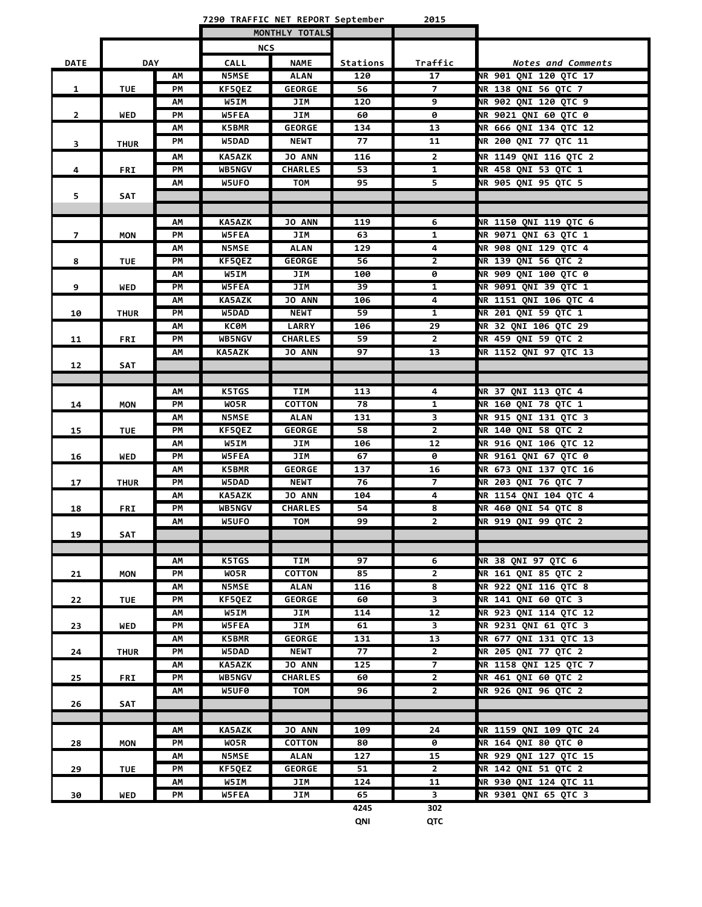**7290 TRAFFIC NET REPORT September 2015**

|                |             |          |                       | MONTHLY TOTALS               |           |                      |                                              |
|----------------|-------------|----------|-----------------------|------------------------------|-----------|----------------------|----------------------------------------------|
|                |             |          | <b>NCS</b>            |                              |           |                      |                                              |
| <b>DATE</b>    | <b>DAY</b>  |          | <b>CALL</b>           | <b>NAME</b>                  | Stations  | Traffic              | <b>Notes and Comments</b>                    |
|                |             | AM       | <b>N5MSE</b>          | <b>ALAN</b>                  | 120       | 17                   | <b>NR 901 QNI 120 QTC 17</b>                 |
| 1              | <b>TUE</b>  | PМ       | KF5QEZ                | <b>GEORGE</b>                | 56        | 7                    | NR 138 QNI 56 QTC 7                          |
|                |             | ΑМ       | W5IM                  | JIM                          | 120       | 9                    | <b>NR 902 QNI 120 QTC 9</b>                  |
| $\overline{2}$ | WED         | PM       | W5FEA                 | JIM                          | 60        | 0                    | <b>NR 9021 QNI 60 QTC 0</b>                  |
|                |             | ΑМ       | K5BMR                 | <b>GEORGE</b>                | 134       | 13                   | NR 666 QNI 134 QTC 12                        |
| 3              | <b>THUR</b> | PМ       | W5DAD                 | <b>NEWT</b>                  | 77        | 11                   | NR 200 QNI 77 QTC 11                         |
|                |             | AM       | <b>KA5AZK</b>         | <b>JO ANN</b>                | 116       | $\overline{2}$       | NR 1149 QNI 116 QTC 2                        |
| 4              | <b>FRI</b>  | PМ       | <b>WB5NGV</b>         | <b>CHARLES</b>               | 53        | $\mathbf{1}$         | NR 458 QNI 53 QTC 1                          |
|                |             | ΑМ       | W5UFO                 | <b>TOM</b>                   | 95        | 5                    | NR 905 QNI 95 QTC 5                          |
| 5              | <b>SAT</b>  |          |                       |                              |           |                      |                                              |
|                |             |          |                       |                              |           |                      |                                              |
|                |             | ΑМ       | <b>KA5AZK</b>         | <b>JO ANN</b>                | 119       | 6                    | NR 1150 QNI 119 QTC 6                        |
| $\overline{7}$ | <b>MON</b>  | PМ       | W5FEA                 | JIM                          | 63        | $\mathbf{1}$         | NR 9071 QNI 63 QTC 1                         |
|                |             | AM       | <b>N5MSE</b>          | <b>ALAN</b>                  | 129       | 4                    | NR 908 QNI 129 QTC 4                         |
| 8              | <b>TUE</b>  | PM       | KF5QEZ                | <b>GEORGE</b>                | 56        | $\overline{2}$       | NR 139 QNI 56 QTC 2                          |
|                |             | ΑМ       | W5IM                  | JIM                          | 100       | 0                    | <b>NR 909 QNI 100 QTC 0</b>                  |
| 9              | <b>WED</b>  | PM       | W5FEA                 | JIM                          | 39        | $\mathbf{1}$         | <b>NR 9091 ONI 39 OTC 1</b>                  |
|                |             | АΜ       | <b>KA5AZK</b>         | <b>JO ANN</b>                | 106       | 4                    | NR 1151 QNI 106 QTC 4                        |
| 10             | <b>THUR</b> | PM       | W5DAD                 | <b>NEWT</b>                  | 59        | $\mathbf{1}$         | NR 201 QNI 59 QTC 1                          |
|                |             | АΜ       | <b>KC0M</b>           | <b>LARRY</b>                 | 106       | 29                   | NR 32 QNI 106 QTC 29                         |
| 11             | <b>FRI</b>  | PМ       | <b>WB5NGV</b>         | <b>CHARLES</b>               | 59        | $\overline{2}$       | NR 459 QNI 59 QTC 2                          |
|                |             | АΜ       | <b>KA5AZK</b>         | <b>JO ANN</b>                | 97        | 13                   | NR 1152 QNI 97 QTC 13                        |
| 12             | <b>SAT</b>  |          |                       |                              |           |                      |                                              |
|                |             |          |                       |                              |           |                      |                                              |
|                |             | АΜ       | <b>K5TGS</b>          | TIM                          | 113       | 4                    | NR 37 QNI 113 QTC 4                          |
| 14             | <b>MON</b>  | PМ       | WO5R                  | <b>COTTON</b>                | 78        | 1                    | NR 160 QNI 78 QTC 1                          |
|                |             | ΑМ       | <b>N5MSE</b>          | <b>ALAN</b>                  | 131       | 3                    | NR 915 QNI 131 QTC 3                         |
| 15             | <b>TUE</b>  | PM       | KF5QEZ                | <b>GEORGE</b>                | 58        | $\mathbf{2}$         | NR 140 QNI 58 QTC 2                          |
|                |             | АΜ       | W5IM                  | JIM                          | 106       | $\overline{12}$      | NR 916 QNI 106 QTC 12                        |
| 16             | <b>WED</b>  | PМ       | W5FEA                 | JIM                          | 67        | 0                    | NR 9161 QNI 67 QTC 0                         |
|                |             | ΑМ<br>PM | <b>K5BMR</b><br>W5DAD | <b>GEORGE</b><br><b>NEWT</b> | 137<br>76 | 16<br>$\overline{7}$ | NR 673 QNI 137 QTC 16<br>NR 203 QNI 76 QTC 7 |
| 17             | <b>THUR</b> | AM       | <b>KA5AZK</b>         | JO ANN                       | 104       | 4                    | NR 1154 QNI 104 QTC 4                        |
| 18             | <b>FRI</b>  | PМ       | <b>WB5NGV</b>         | <b>CHARLES</b>               | 54        | 8                    | NR 460 QNI 54 QTC 8                          |
|                |             | АΜ       | W5UFO                 | <b>TOM</b>                   | 99        | $\overline{2}$       | NR 919 ONI 99 OTC 2                          |
| 19             | SAT         |          |                       |                              |           |                      |                                              |
|                |             |          |                       |                              |           |                      |                                              |
|                |             | AM       | <b>K5TGS</b>          | TIM                          | 97        | $\overline{6}$       | <b>NR 38 ONI 97 OTC 6</b>                    |
| 21             | <b>MON</b>  | PM       | WO5R                  | <b>COTTON</b>                | 85        | $\overline{2}$       | <b>NR 161 QNI 85 QTC 2</b>                   |
|                |             | AΜ       | <b>N5MSE</b>          | <b>ALAN</b>                  | 116       | 8                    | NR 922 QNI 116 QTC 8                         |
| 22             | <b>TUE</b>  | РM       | KF5QEZ                | <b>GEORGE</b>                | 60        | 3                    | <b>NR 141 ONI 60 OTC 3</b>                   |
|                |             | AΜ       | W5IM                  | JIM                          | 114       | 12                   | NR 923 QNI 114 QTC 12                        |
| 23             | <b>WED</b>  | РM       | W5FEA                 | JIM                          | 61        | $\mathbf{3}$         | NR 9231 QNI 61 QTC 3                         |
|                |             | АΜ       | K5BMR                 | <b>GEORGE</b>                | 131       | 13                   | NR 677 QNI 131 QTC 13                        |
| 24             | <b>THUR</b> | PМ       | W5DAD                 | <b>NEWT</b>                  | 77        | $\overline{2}$       | NR 205 QNI 77 QTC 2                          |
|                |             | АΜ       | <b>KA5AZK</b>         | JO ANN                       | 125       | $\overline{7}$       | NR 1158 QNI 125 QTC 7                        |
| 25             | <b>FRI</b>  | РM       | <b>WB5NGV</b>         | <b>CHARLES</b>               | 60        | $\overline{2}$       | NR 461 QNI 60 QTC 2                          |
|                |             | АΜ       | W5UF0                 | TOM                          | 96        | $\overline{2}$       | NR 926 QNI 96 QTC 2                          |
| 26             | SAT         |          |                       |                              |           |                      |                                              |
|                |             |          |                       |                              |           |                      |                                              |
|                |             | AΜ       | <b>KA5AZK</b>         | <b>JO ANN</b>                | 109       | 24                   | NR 1159 QNI 109 QTC 24                       |
| 28             | <b>MON</b>  | PM       | WO5R                  | <b>COTTON</b>                | 80        | 0                    | <b>NR 164 QNI 80 QTC 0</b>                   |
|                |             | АΜ       | <b>N5MSE</b>          | <b>ALAN</b>                  | 127       | 15                   | NR 929 QNI 127 QTC 15                        |
| 29             | <b>TUE</b>  | PМ       | KF5QEZ                | <b>GEORGE</b>                | 51        | $\mathbf{2}$         | NR 142 QNI 51 QTC 2                          |
|                |             | АΜ       | <b>W5IM</b>           | JIM                          | 124       | 11                   | NR 930 QNI 124 QTC 11                        |
| 30             | WED         | PМ       | <b>W5FEA</b>          | JIM                          | 65        | 3                    | NR 9301 QNI 65 QTC 3                         |
|                |             |          |                       |                              | 4245      | 302                  |                                              |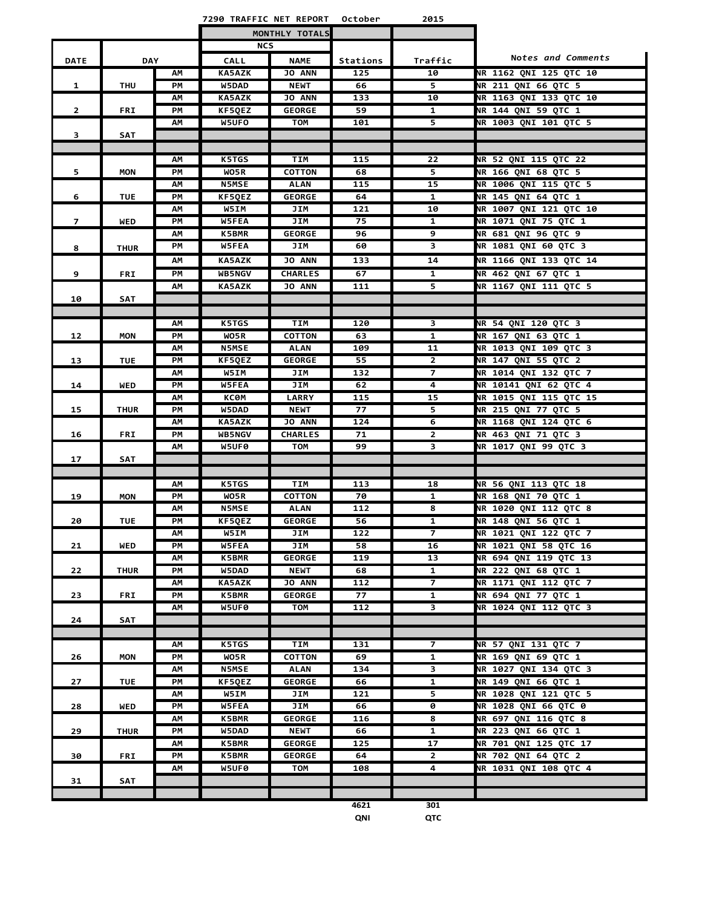|                |             |          | 7290 TRAFFIC NET REPORT      |                             | October   | 2015                                    |                                                             |
|----------------|-------------|----------|------------------------------|-----------------------------|-----------|-----------------------------------------|-------------------------------------------------------------|
|                |             |          |                              | MONTHLY TOTALS              |           |                                         |                                                             |
|                |             |          | <b>NCS</b>                   |                             |           |                                         |                                                             |
| <b>DATE</b>    | DAY         |          | <b>CALL</b>                  | <b>NAME</b>                 | Stations  | Traffic                                 | Notes and Comments                                          |
|                |             | АM       | <b>KA5AZK</b>                | <b>JO ANN</b>               | 125       | 10                                      | <b>NR 1162 QNI 125 QTC 10</b>                               |
| 1              | <b>THU</b>  | PМ       | W5DAD                        | <b>NEWT</b>                 | 66        | $\overline{5}$                          | <b>NR 211 QNI 66 QTC 5</b>                                  |
|                |             | ΑМ       | <b>KA5AZK</b>                | <b>JO ANN</b>               | 133       | 10                                      | NR 1163 QNI 133 QTC 10                                      |
| $\overline{2}$ | FRI         | PМ       | KF5QEZ                       | <b>GEORGE</b>               | 59        | 1                                       | <b>NR 144 QNI 59 QTC 1</b>                                  |
|                |             | ΑМ       | W5UFO                        | TOM                         | 101       | 5.                                      | <b>NR 1003 QNI 101 QTC 5</b>                                |
| з              | SAT         |          |                              |                             |           |                                         |                                                             |
|                |             |          |                              |                             |           |                                         |                                                             |
|                |             | АΜ       | <b>K5TGS</b>                 | TIM                         | 115       | 22                                      | NR 52 QNI 115 QTC 22                                        |
| 5              | <b>MON</b>  | PМ       | WO5R                         | <b>COTTON</b>               | 68        | 5                                       | <b>NR 166 QNI 68 QTC 5</b>                                  |
|                |             | АΜ       | <b>N5MSE</b>                 | <b>ALAN</b>                 | 115       | 15                                      | NR 1006 QNI 115 QTC 5                                       |
| 6              | <b>TUE</b>  | PМ       | KF5QEZ                       | <b>GEORGE</b>               | 64        | 1                                       | NR 145 QNI 64 QTC 1                                         |
|                |             | ΑМ       | W5IM                         | JIM                         | 121       | 10                                      | <b>NR 1007 QNI 121 QTC 10</b>                               |
| $\overline{7}$ | WED         | PМ       | <b>W5FEA</b>                 | JIM                         | 75        | $\mathbf{1}$                            | NR 1071 QNI 75 QTC 1                                        |
|                |             | ΑМ       | K5BMR                        | <b>GEORGE</b>               | 96        | 9                                       | NR 681 QNI 96 QTC 9                                         |
| 8              | <b>THUR</b> | PМ       | W5FEA                        | JIM                         | 60        | 3                                       | <b>NR 1081 QNI 60 QTC 3</b>                                 |
|                |             | ΑМ       | <b>KA5AZK</b>                | <b>JO ANN</b>               | 133       | 14                                      | NR 1166 QNI 133 QTC 14                                      |
| 9              | FRI         | PМ       | <b>WB5NGV</b>                | <b>CHARLES</b>              | 67        | 1                                       | NR 462 QNI 67 QTC 1                                         |
|                |             | ΑМ       | <b>KA5AZK</b>                | <b>JO ANN</b>               | 111       | 5                                       | NR 1167 QNI 111 QTC 5                                       |
| 10             | <b>SAT</b>  |          |                              |                             |           |                                         |                                                             |
|                |             |          |                              |                             |           |                                         |                                                             |
|                |             | АΜ       | <b>K5TGS</b>                 | TIM                         | 120       | 3                                       | NR 54 QNI 120 QTC 3                                         |
| 12             | MON         | PМ       | WO5R                         | <b>COTTON</b>               | 63        | 1                                       | NR 167 QNI 63 QTC 1                                         |
|                |             | ΑМ       | <b>N5MSE</b>                 | <b>ALAN</b>                 | 109       | 11                                      | NR 1013 QNI 109 QTC 3                                       |
| 13             | <b>TUE</b>  | PМ       | <b>KF5QEZ</b>                | <b>GEORGE</b>               | 55        | $\mathbf{2}$                            | NR 147 QNI 55 QTC 2                                         |
|                |             | ΑМ       | <b>W5IM</b>                  | JIM                         | 132       | 7                                       | NR 1014 QNI 132 QTC 7                                       |
| 14             | WED         | PМ       | <b>W5FEA</b>                 | JIM                         | 62<br>115 | 4                                       | <b>NR 10141 QNI 62 QTC 4</b><br>NR 1015 QNI 115 QTC 15      |
|                |             | ΑМ<br>PМ | ксөм<br>W5DAD                | <b>LARRY</b><br><b>NEWT</b> | 77        | 15<br>5                                 | NR 215 QNI 77 QTC 5                                         |
| 15             | <b>THUR</b> | АΜ       | <b>KA5AZK</b>                | <b>JO ANN</b>               | 124       | 6                                       | NR 1168 QNI 124 QTC 6                                       |
| 16             | <b>FRI</b>  | PМ       | <b>WB5NGV</b>                | <b>CHARLES</b>              | 71        | $\mathbf{2}$                            | NR 463 QNI 71 QTC 3                                         |
|                |             | ΑМ       | W5UF0                        | TOM                         | 99        | 3                                       | NR 1017 QNI 99 QTC 3                                        |
| 17             | SAT         |          |                              |                             |           |                                         |                                                             |
|                |             |          |                              |                             |           |                                         |                                                             |
|                |             | АΜ       | <b>K5TGS</b>                 | <b>TIM</b>                  | 113       | 18                                      | NR 56 QNI 113 QTC 18                                        |
| 19             | <b>MON</b>  | PМ       | WO5R                         | <b>COTTON</b>               | 70        | 1                                       | NR 168 QNI 70 QTC 1                                         |
|                |             | ΑМ       | <b>N5MSE</b>                 | <b>ALAN</b>                 | 112       | 8                                       | <b>NR 1020 QNI 112 QTC 8</b>                                |
| 20             | <b>TUE</b>  | PМ       | KF5QEZ                       | <b>GEORGE</b>               | 56        | 1                                       | NR 148 ONI 56 OTC 1                                         |
|                |             | ΑМ       | <b>W5IM</b>                  | JIM                         | 122       | 7                                       | <b>NR 1021 QNI 122 QTC 7</b>                                |
| 21             | WED         | PМ       | <b>W5FEA</b>                 | JIM                         | 58        | 16                                      | <b>NR 1021 QNI 58 QTC 16</b>                                |
|                |             | ΑМ       | <b>K5BMR</b>                 | <b>GEORGE</b>               | 119       | 13                                      | NR 694 QNI 119 QTC 13                                       |
| 22             | <b>THUR</b> | PМ       | W5DAD                        | <b>NEWT</b>                 | 68        | 1                                       | NR 222 QNI 68 QTC 1                                         |
|                |             | ΑМ       | <b>KA5AZK</b>                | <b>JO ANN</b>               | 112       | 7                                       | <b>NR 1171 QNI 112 QTC 7</b>                                |
| 23             | FRI         | PМ       | <b>K5BMR</b>                 | <b>GEORGE</b>               | 77        | $\mathbf{1}$                            | NR 694 QNI 77 QTC 1                                         |
|                |             | ΑМ       | W5UF0                        | TOM                         | 112       | $\overline{\mathbf{3}}$                 | <b>NR 1024 QNI 112 QTC 3</b>                                |
| 24             | SAT         |          |                              |                             |           |                                         |                                                             |
|                |             |          |                              |                             |           |                                         |                                                             |
|                |             | АΜ       | <b>K5TGS</b>                 | TIM                         | 131       | 7                                       | NR 57 QNI 131 QTC 7                                         |
| 26             | MON         | PМ       | WO5R                         | <b>COTTON</b>               | 69        | 1                                       | NR 169 QNI 69 QTC 1<br><b>NR 1027 ONI 134 OTC 3</b>         |
|                |             | ΑМ       | <b>N5MSE</b>                 | <b>ALAN</b>                 | 134       | $\overline{\mathbf{3}}$<br>$\mathbf{1}$ |                                                             |
| 27             | <b>TUE</b>  | PМ       | KF5QEZ                       | <b>GEORGE</b>               | 66<br>121 |                                         | NR 149 QNI 66 QTC 1                                         |
| 28             | WED         | АM       | W5IM                         | JIM                         |           | 5                                       | <b>NR 1028 QNI 121 QTC 5</b><br><b>NR 1028 QNI 66 QTC 0</b> |
|                |             | PМ<br>ΑМ | <b>W5FEA</b><br><b>K5BMR</b> | JIM<br><b>GEORGE</b>        | 66<br>116 | 0<br>$\overline{\mathbf{8}}$            | NR 697 QNI 116 QTC 8                                        |
| 29             | <b>THUR</b> | PМ       | W5DAD                        | <b>NEWT</b>                 | 66        | $\mathbf{1}$                            | NR 223 QNI 66 QTC 1                                         |
|                |             | ΑМ       | <b>K5BMR</b>                 | <b>GEORGE</b>               | 125       | 17                                      | NR 701 QNI 125 QTC 17                                       |
| 30             | <b>FRI</b>  | PМ       | <b>K5BMR</b>                 | <b>GEORGE</b>               | 64        | $\mathbf{2}$                            | NR 702 QNI 64 QTC 2                                         |
|                |             | ΑМ       | W5UF0                        | TOM                         | 108       | 4                                       | NR 1031 QNI 108 QTC 4                                       |
| 31             | SAT         |          |                              |                             |           |                                         |                                                             |
|                |             |          |                              |                             |           |                                         |                                                             |
|                |             |          |                              |                             |           |                                         |                                                             |

**4621 301 QNI QTC**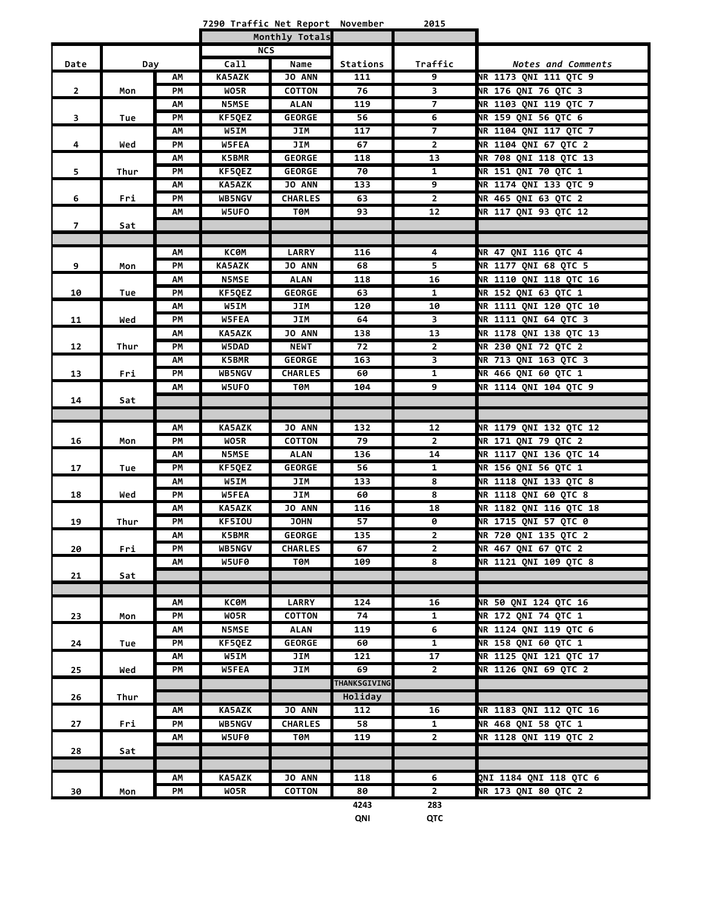|  |  |  |  | 7290 Traffic Net Report November | 2015 |
|--|--|--|--|----------------------------------|------|
|--|--|--|--|----------------------------------|------|

|                |      |    |               | Monthly Totals |                     |                         |                               |
|----------------|------|----|---------------|----------------|---------------------|-------------------------|-------------------------------|
|                |      |    | <b>NCS</b>    |                |                     |                         |                               |
| Date           | Day  |    | Ca11          | Name           | Stations            | Traffic                 | <b>Notes and Comments</b>     |
|                |      | АΜ | <b>KA5AZK</b> | <b>JO ANN</b>  | 111                 | 9                       | NR 1173 QNI 111 QTC 9         |
| $\overline{2}$ | Mon  | PM | WO5R          | <b>COTTON</b>  | 76                  | 3                       | NR 176 QNI 76 QTC 3           |
|                |      | АΜ | <b>N5MSE</b>  | <b>ALAN</b>    | 119                 | 7                       | NR 1103 QNI 119 QTC 7         |
| 3              | Tue  | PM | KF5QEZ        | <b>GEORGE</b>  | 56                  | 6                       | NR 159 QNI 56 QTC 6           |
|                |      | AM | W5IM          | JIM            | 117                 | 7                       | NR 1104 QNI 117 QTC 7         |
| 4              | Wed  | PM | W5FEA         | JIM            | 67                  | $\mathbf{2}$            | NR 1104 QNI 67 QTC 2          |
|                |      | АΜ | <b>K5BMR</b>  | <b>GEORGE</b>  | 118                 | 13                      | NR 708 QNI 118 QTC 13         |
| 5              | Thur | PM | KF5QEZ        | <b>GEORGE</b>  | 70                  | $\mathbf{1}$            | NR 151 QNI 70 QTC 1           |
|                |      | AM | <b>KA5AZK</b> | <b>JO ANN</b>  | 133                 | 9                       | NR 1174 QNI 133 QTC 9         |
| 6              | Fri  | PM | WB5NGV        | <b>CHARLES</b> | 63                  | $\overline{2}$          | NR 465 QNI 63 QTC 2           |
|                |      | АΜ | W5UFO         | төм            | 93                  | 12                      | NR 117 QNI 93 QTC 12          |
| $\overline{7}$ | Sat  |    |               |                |                     |                         |                               |
|                |      |    |               |                |                     |                         |                               |
|                |      | АΜ | ксөм          | <b>LARRY</b>   | 116                 | 4                       | NR 47 QNI 116 QTC 4           |
| 9              | Mon  | PM | <b>KA5AZK</b> | JO ANN         | 68                  | 5                       | NR 1177 QNI 68 QTC 5          |
|                |      | AM | N5MSE         | <b>ALAN</b>    | 118                 | 16                      | NR 1110 QNI 118 QTC 16        |
| 10             | Tue  | PM | KF5QEZ        | <b>GEORGE</b>  | 63                  | $\mathbf{1}$            | NR 152 QNI 63 QTC 1           |
|                |      | AM | W5IM          | JIM            | 120                 | 10                      | <b>NR 1111 QNI 120 QTC 10</b> |
| 11             | Wed  | PM | W5FEA         | JIM            | 64                  | 3                       | NR 1111 QNI 64 QTC 3          |
|                |      | АΜ | <b>KA5AZK</b> | JO ANN         | 138                 | 13                      | NR 1178 QNI 138 QTC 13        |
| 12             | Thur | PM | W5DAD         | <b>NEWT</b>    | 72                  | $\overline{2}$          | NR 230 QNI 72 QTC 2           |
|                |      | AM | <b>K5BMR</b>  | <b>GEORGE</b>  | 163                 | $\overline{\mathbf{3}}$ | NR 713 QNI 163 QTC 3          |
| 13             | Fri  | PM | WB5NGV        | <b>CHARLES</b> | 60                  | $\mathbf{1}$            | <b>NR 466 QNI 60 QTC 1</b>    |
|                |      | АΜ | W5UFO         | ТӨМ            | 104                 | 9                       | <b>NR 1114 QNI 104 QTC 9</b>  |
| 14             | Sat  |    |               |                |                     |                         |                               |
|                |      |    |               |                |                     |                         |                               |
|                |      | АΜ | <b>KA5AZK</b> | <b>JO ANN</b>  | 132                 | 12                      | NR 1179 QNI 132 QTC 12        |
| 16             | Mon  | PМ | WO5R          | <b>COTTON</b>  | 79                  | 2                       | NR 171 QNI 79 QTC 2           |
|                |      | АΜ | <b>N5MSE</b>  | <b>ALAN</b>    | 136                 | 14                      | NR 1117 QNI 136 QTC 14        |
| 17             | Tue  | PM | KF5QEZ        | <b>GEORGE</b>  | 56                  | 1                       | NR 156 QNI 56 QTC 1           |
|                |      | АΜ | W5IM          | JIM            | 133                 | 8                       | NR 1118 ONI 133 OTC 8         |
| 18             | Wed  | PM | W5FEA         | JIM            | 60                  | 8                       | NR 1118 ONI 60 OTC 8          |
|                |      | АΜ | <b>KA5AZK</b> | JO ANN         | 116                 | 18                      | NR 1182 QNI 116 QTC 18        |
| 19             | Thur | PM | KF5IOU        | <b>JOHN</b>    | 57                  | 0                       | NR 1715 QNI 57 QTC 0          |
|                |      | AM | <b>K5BMR</b>  | <b>GEORGE</b>  | 135                 | $\mathbf{2}$            | NR 720 QNI 135 QTC 2          |
| 20             | Fri  | PM | WB5NGV        | <b>CHARLES</b> | 67                  | $\overline{2}$          | NR 467 QNI 67 QTC 2           |
|                |      | AM | W5UF0         | T0M            | 109                 | 8                       | NR 1121 QNI 109 QTC 8         |
| 21             | Sat  |    |               |                |                     |                         |                               |
|                |      |    |               |                |                     |                         |                               |
|                |      | АΜ | КСӨМ          | <b>LARRY</b>   | 124                 | 16                      | NR 50 QNI 124 QTC 16          |
| 23             | Mon  | PM | WO5R          | COTTON         | 74                  | $\mathbf{1}$            | NR 172 QNI 74 QTC 1           |
|                |      | AM | <b>N5MSE</b>  | <b>ALAN</b>    | 119                 | 6                       | NR 1124 QNI 119 QTC 6         |
| 24             | Tue  | PM | KF5QEZ        | <b>GEORGE</b>  | 60                  | $\mathbf{1}$            | NR 158 QNI 60 QTC 1           |
|                |      | AM | W5IM          | JIM            | 121                 | 17                      | NR 1125 QNI 121 QTC 17        |
| 25             | Wed  | PM | W5FEA         | JIM            | 69                  | $\overline{2}$          | <b>NR 1126 QNI 69 QTC 2</b>   |
|                |      |    |               |                | <b>THANKSGIVING</b> |                         |                               |
| 26             | Thur |    |               |                | Holiday             |                         |                               |
|                |      | AM | <b>KA5AZK</b> | <b>JO ANN</b>  | 112                 | 16                      | NR 1183 QNI 112 QTC 16        |
| 27             | Fri  | PМ | <b>WB5NGV</b> | <b>CHARLES</b> | 58                  | $\mathbf{1}$            | NR 468 QNI 58 QTC 1           |
|                |      | АΜ | W5UF0         | T0M            | 119                 | $\mathbf{2}$            | NR 1128 QNI 119 QTC 2         |
| 28             | Sat  |    |               |                |                     |                         |                               |
|                |      |    |               |                |                     |                         |                               |
|                |      | АΜ | KA5AZK        | JO ANN         | 118                 | 6                       | QNI 1184 QNI 118 QTC 6        |
| 30             | Mon  | PM | WO5R          | COTTON         | 80                  | $\overline{2}$          | NR 173 QNI 80 QTC 2           |
|                |      |    |               |                | 4243                | 283                     |                               |